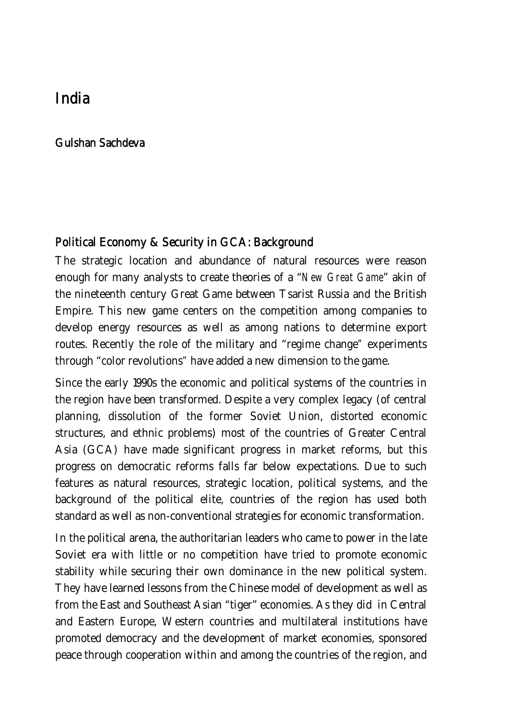# India

#### Gulshan Sachdeva

#### Political Economy & Security in GCA: Background

The strategic location and abundance of natural resources were reason enough for many analysts to create theories of a "*New Great Game*" akin of the nineteenth century Great Game between Tsarist Russia and the British Empire. This new game centers on the competition among companies to develop energy resources as well as among nations to determine export routes. Recently the role of the military and "regime change*"* experiments through "color revolutions*"* have added a new dimension to the game.

Since the early 1990s the economic and political systems of the countries in the region have been transformed. Despite a very complex legacy (of central planning, dissolution of the former Soviet Union, distorted economic structures, and ethnic problems) most of the countries of Greater Central Asia (GCA) have made significant progress in market reforms, but this progress on democratic reforms falls far below expectations. Due to such features as natural resources, strategic location, political systems, and the background of the political elite, countries of the region has used both standard as well as non-conventional strategies for economic transformation.

In the political arena, the authoritarian leaders who came to power in the late Soviet era with little or no competition have tried to promote economic stability while securing their own dominance in the new political system. They have learned lessons from the Chinese model of development as well as from the East and Southeast Asian "tiger" economies. As they did in Central and Eastern Europe, Western countries and multilateral institutions have promoted democracy and the development of market economies, sponsored peace through cooperation within and among the countries of the region, and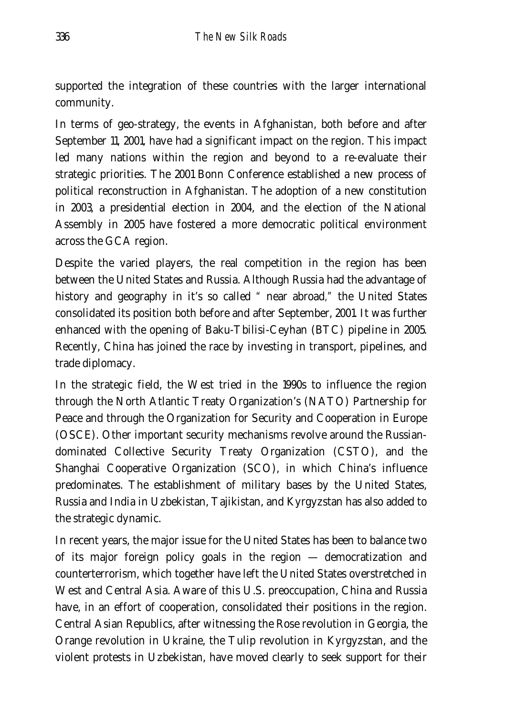supported the integration of these countries with the larger international community.

In terms of geo-strategy, the events in Afghanistan, both before and after September 11, 2001, have had a significant impact on the region. This impact led many nations within the region and beyond to a re-evaluate their strategic priorities. The 2001 Bonn Conference established a new process of political reconstruction in Afghanistan. The adoption of a new constitution in 2003, a presidential election in 2004, and the election of the National Assembly in 2005 have fostered a more democratic political environment across the GCA region.

Despite the varied players, the real competition in the region has been between the United States and Russia. Although Russia had the advantage of history and geography in it's so called *"* near abroad*,"* the United States consolidated its position both before and after September, 2001. It was further enhanced with the opening of Baku-Tbilisi-Ceyhan (BTC) pipeline in 2005. Recently, China has joined the race by investing in transport, pipelines, and trade diplomacy.

In the strategic field, the West tried in the 1990s to influence the region through the North Atlantic Treaty Organization's (NATO) Partnership for Peace and through the Organization for Security and Cooperation in Europe (OSCE). Other important security mechanisms revolve around the Russiandominated Collective Security Treaty Organization (CSTO), and the Shanghai Cooperative Organization (SCO), in which China's influence predominates. The establishment of military bases by the United States, Russia and India in Uzbekistan, Tajikistan, and Kyrgyzstan has also added to the strategic dynamic.

In recent years, the major issue for the United States has been to balance two of its major foreign policy goals in the region — democratization and counterterrorism, which together have left the United States overstretched in West and Central Asia. Aware of this U.S. preoccupation, China and Russia have, in an effort of cooperation, consolidated their positions in the region. Central Asian Republics, after witnessing the Rose revolution in Georgia, the Orange revolution in Ukraine, the Tulip revolution in Kyrgyzstan, and the violent protests in Uzbekistan, have moved clearly to seek support for their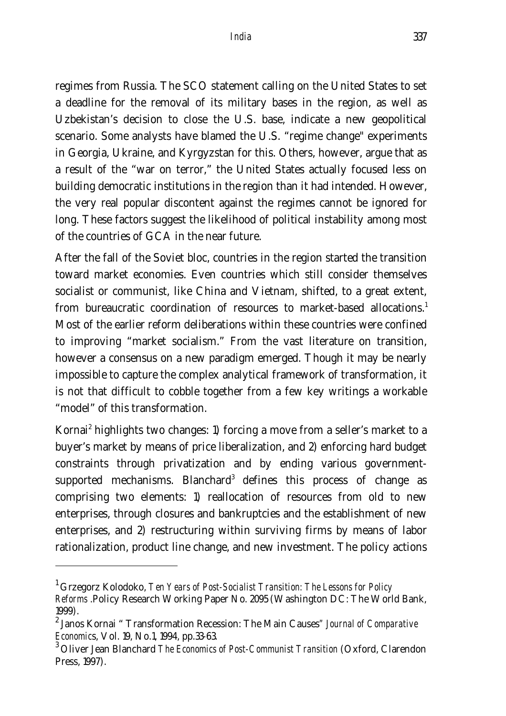regimes from Russia. The SCO statement calling on the United States to set a deadline for the removal of its military bases in the region, as well as Uzbekistan's decision to close the U.S. base, indicate a new geopolitical scenario. Some analysts have blamed the U.S. "regime change" experiments in Georgia, Ukraine, and Kyrgyzstan for this. Others, however, argue that as a result of the "war on terror," the United States actually focused less on building democratic institutions in the region than it had intended. However, the very real popular discontent against the regimes cannot be ignored for long. These factors suggest the likelihood of political instability among most of the countries of GCA in the near future.

After the fall of the Soviet bloc, countries in the region started the transition toward market economies. Even countries which still consider themselves socialist or communist, like China and Vietnam, shifted, to a great extent, from bureaucratic coordination of resources to market-based allocations.<sup>1</sup> Most of the earlier reform deliberations within these countries were confined to improving "market socialism." From the vast literature on transition, however a consensus on a new paradigm emerged. Though it may be nearly impossible to capture the complex analytical framework of transformation, it is not that difficult to cobble together from a few key writings a workable "model" of this transformation.

Kornai<sup>2</sup> highlights two changes: 1) forcing a move from a seller's market to a buyer's market by means of price liberalization, and 2) enforcing hard budget constraints through privatization and by ending various governmentsupported mechanisms. Blanchard<sup>3</sup> defines this process of change as comprising two elements: 1) reallocation of resources from old to new enterprises, through closures and bankruptcies and the establishment of new enterprises, and 2) restructuring within surviving firms by means of labor rationalization, product line change, and new investment. The policy actions

<sup>1</sup> Grzegorz Kolodoko, *Ten Years of Post-Socialist Transition: The Lessons for Policy* 

*Reforms* .Policy Research Working Paper No. 2095 (Washington DC: The World Bank, 1999).

<sup>2</sup> Janos Kornai " Transformation Recession: The Main Causes*" Journal of Comparative Economic*s, Vol. 19, No.1, 1994, pp.33-63.

<sup>3</sup> Oliver Jean Blanchard *The Economics of Post-Communist Transition* (Oxford, Clarendon Press, 1997).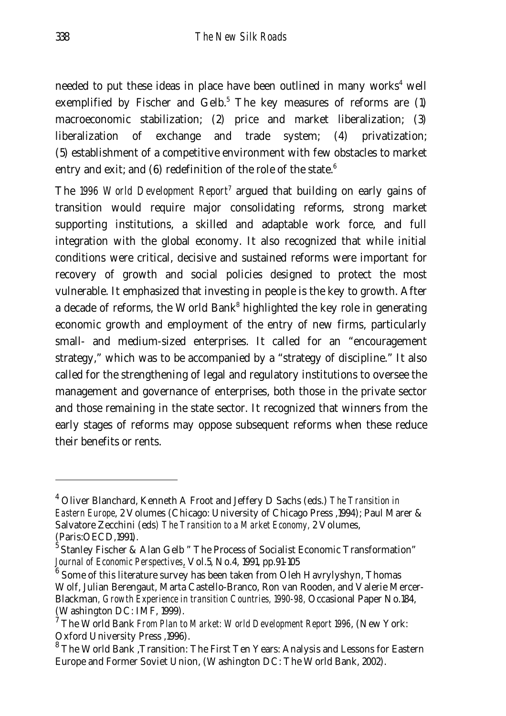needed to put these ideas in place have been outlined in many works $^4$  well exemplified by Fischer and Gelb.<sup>5</sup> The key measures of reforms are (1) macroeconomic stabilization; (2) price and market liberalization; (3) liberalization of exchange and trade system; (4) privatization; (5) establishment of a competitive environment with few obstacles to market entry and exit; and  $(6)$  redefinition of the role of the state.<sup>6</sup>

The *1996 World Development Report*<sup>7</sup> argued that building on early gains of transition would require major consolidating reforms, strong market supporting institutions, a skilled and adaptable work force, and full integration with the global economy. It also recognized that while initial conditions were critical, decisive and sustained reforms were important for recovery of growth and social policies designed to protect the most vulnerable. It emphasized that investing in people is the key to growth. After a decade of reforms, the World Bank<sup>8</sup> highlighted the key role in generating economic growth and employment of the entry of new firms, particularly small- and medium-sized enterprises. It called for an "encouragement strategy," which was to be accompanied by a "strategy of discipline." It also called for the strengthening of legal and regulatory institutions to oversee the management and governance of enterprises, both those in the private sector and those remaining in the state sector. It recognized that winners from the early stages of reforms may oppose subsequent reforms when these reduce their benefits or rents.

<sup>4</sup> Oliver Blanchard, Kenneth A Froot and Jeffery D Sachs (eds.) *The Transition in Eastern Europe*, 2 Volumes (Chicago: University of Chicago Press ,1994); Paul Marer & Salvatore Zecchini (eds*) The Transition to a Market Economy,* 2 Volumes, (Paris:OECD,1991).

 $^5$  Stanley Fischer & Alan Gelb " The Process of Socialist Economic Transformation" *Journal of Economic Perspectives*, Vol.5, No.4, 1991, pp.91-105

 $6$  Some of this literature survey has been taken from Oleh Havrylyshyn. Thomas Wolf, Julian Berengaut, Marta Castello-Branco, Ron van Rooden, and Valerie Mercer-Blackman*, Growth Experience in transition Countries, 1990-98,* Occasional Paper No.184, (Washington DC: IMF, 1999).

<sup>7</sup> The World Bank *From Plan to Market: World Development Report 1996*, (New York: Oxford University Press ,1996).

 $^8$  The World Bank ,Transition: The First Ten Years: Analysis and Lessons for Eastern Europe and Former Soviet Union, (Washington DC: The World Bank, 2002).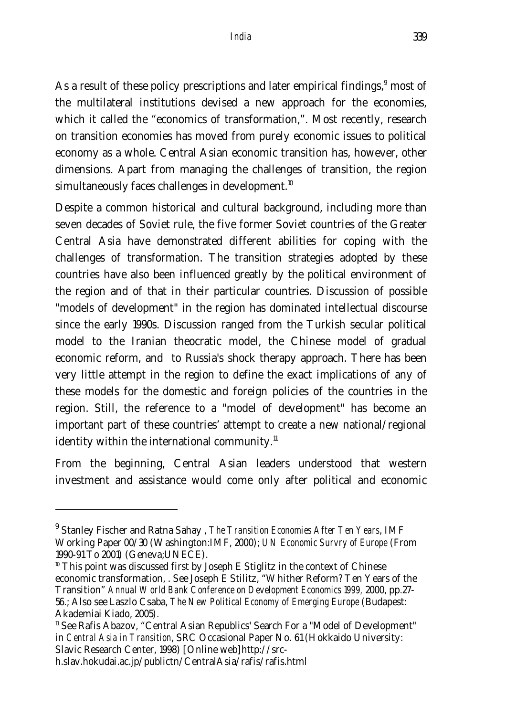As a result of these policy prescriptions and later empirical findings, $^9$  most of the multilateral institutions devised a new approach for the economies, which it called the "economics of transformation,". Most recently, research on transition economies has moved from purely economic issues to political economy as a whole. Central Asian economic transition has, however, other dimensions. Apart from managing the challenges of transition, the region simultaneously faces challenges in development.<sup>10</sup>

Despite a common historical and cultural background, including more than seven decades of Soviet rule, the five former Soviet countries of the Greater Central Asia have demonstrated different abilities for coping with the challenges of transformation. The transition strategies adopted by these countries have also been influenced greatly by the political environment of the region and of that in their particular countries. Discussion of possible "models of development" in the region has dominated intellectual discourse since the early 1990s. Discussion ranged from the Turkish secular political model to the Iranian theocratic model, the Chinese model of gradual economic reform, and to Russia's shock therapy approach. There has been very little attempt in the region to define the exact implications of any of these models for the domestic and foreign policies of the countries in the region. Still, the reference to a "model of development" has become an important part of these countries' attempt to create a new national/regional identity within the international community. $<sup>11</sup>$ </sup>

From the beginning, Central Asian leaders understood that western investment and assistance would come only after political and economic

<sup>9</sup> Stanley Fischer and Ratna Sahay , *The Transition Economies After Ten Years*, IMF Working Paper 00/30 (Washington:IMF, 2000); *UN Economic Survry of Europe* (From 1990-91 To 2001) (Geneva;UNECE).

 $10$  This point was discussed first by Joseph E Stiglitz in the context of Chinese economic transformation, . See Joseph E Stilitz, "Whither Reform? Ten Years of the Transition" *Annual World Bank Conference on Development Economics 1999,* 2000, pp.27- 56.; Also see Laszlo Csaba, *The New Political Economy of Emerging Europe* (Budapest: Akademiai Kiado, 2005).

<sup>&</sup>lt;sup>11</sup> See Rafis Abazov, "Central Asian Republics' Search For a "Model of Development" in *Central Asia in Transition*, SRC Occasional Paper No. 61 (Hokkaido University: Slavic Research Center, 1998) [Online web]http://src-

h.slav.hokudai.ac.jp/publictn/CentralAsia/rafis/rafis.html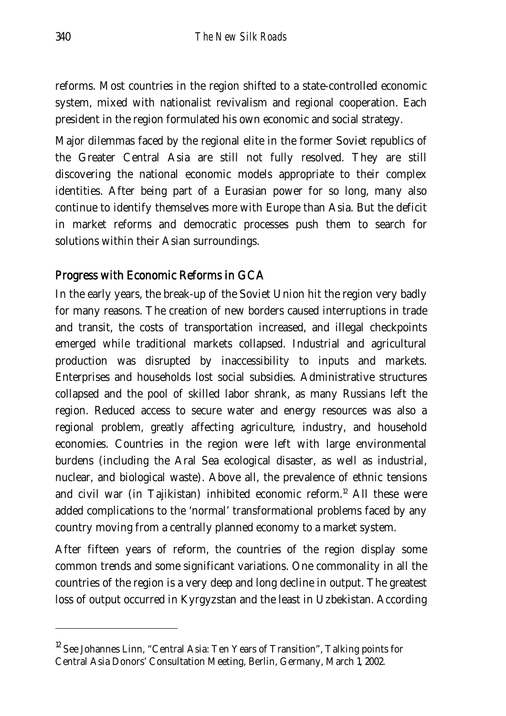reforms. Most countries in the region shifted to a state-controlled economic system, mixed with nationalist revivalism and regional cooperation. Each president in the region formulated his own economic and social strategy.

Major dilemmas faced by the regional elite in the former Soviet republics of the Greater Central Asia are still not fully resolved. They are still discovering the national economic models appropriate to their complex identities. After being part of a Eurasian power for so long, many also continue to identify themselves more with Europe than Asia. But the deficit in market reforms and democratic processes push them to search for solutions within their Asian surroundings.

## Progress with Economic Reforms in GCA

In the early years, the break-up of the Soviet Union hit the region very badly for many reasons. The creation of new borders caused interruptions in trade and transit, the costs of transportation increased, and illegal checkpoints emerged while traditional markets collapsed. Industrial and agricultural production was disrupted by inaccessibility to inputs and markets. Enterprises and households lost social subsidies. Administrative structures collapsed and the pool of skilled labor shrank, as many Russians left the region. Reduced access to secure water and energy resources was also a regional problem, greatly affecting agriculture, industry, and household economies. Countries in the region were left with large environmental burdens (including the Aral Sea ecological disaster, as well as industrial, nuclear, and biological waste). Above all, the prevalence of ethnic tensions and civil war (in Tajikistan) inhibited economic reform.<sup>12</sup> All these were added complications to the 'normal' transformational problems faced by any country moving from a centrally planned economy to a market system.

After fifteen years of reform, the countries of the region display some common trends and some significant variations. One commonality in all the countries of the region is a very deep and long decline in output. The greatest loss of output occurred in Kyrgyzstan and the least in Uzbekistan. According

 $12$  See Johannes Linn, "Central Asia: Ten Years of Transition", Talking points for Central Asia Donors' Consultation Meeting, Berlin, Germany, March 1, 2002.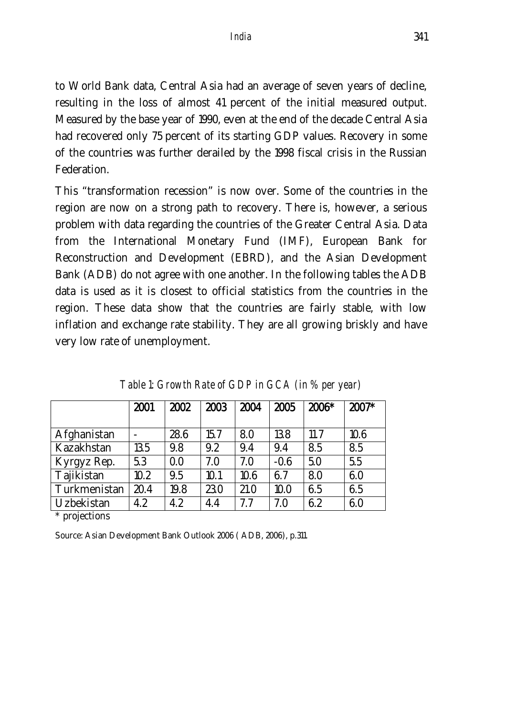to World Bank data, Central Asia had an average of seven years of decline, resulting in the loss of almost 41 percent of the initial measured output. Measured by the base year of 1990, even at the end of the decade Central Asia had recovered only 75 percent of its starting GDP values. Recovery in some of the countries was further derailed by the 1998 fiscal crisis in the Russian Federation.

This "transformation recession" is now over. Some of the countries in the region are now on a strong path to recovery. There is, however, a serious problem with data regarding the countries of the Greater Central Asia. Data from the International Monetary Fund (IMF), European Bank for Reconstruction and Development (EBRD), and the Asian Development Bank (ADB) do not agree with one another. In the following tables the ADB data is used as it is closest to official statistics from the countries in the region. These data show that the countries are fairly stable, with low inflation and exchange rate stability. They are all growing briskly and have very low rate of unemployment.

|              | 2001 | 2002 | 2003 | 2004 | 2005   | 2006* | 2007* |
|--------------|------|------|------|------|--------|-------|-------|
| Afghanistan  |      | 28.6 | 15.7 | 8.0  | 13.8   | 11.7  | 10.6  |
| Kazakhstan   | 13.5 | 9.8  | 9.2  | 9.4  | 9.4    | 8.5   | 8.5   |
| Kyrgyz Rep.  | 5.3  | 0.0  | 7.0  | 7.0  | $-0.6$ | 5.0   | 5.5   |
| Tajikistan   | 10.2 | 9.5  | 10.1 | 10.6 | 6.7    | 8.0   | 6.0   |
| Turkmenistan | 20.4 | 19.8 | 23.0 | 21.0 | 10.0   | 6.5   | 6.5   |
| Uzbekistan   | 4.2  | 4.2  | 4.4  | 7.7  | 7.0    | 6.2   | 6.0   |

*Table 1: Growth Rate of GDP in GCA (in % per year)* 

\* projections

Source: Asian Development Bank Outlook 2006 ( ADB, 2006), p.311.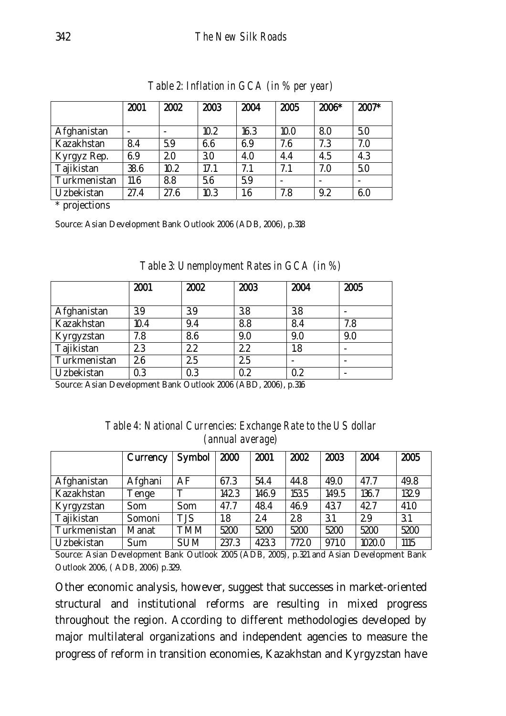|              | 2001 | 2002 | 2003 | 2004 | 2005 | 2006* | 2007* |
|--------------|------|------|------|------|------|-------|-------|
| Afghanistan  |      |      | 10.2 | 16.3 | 10.0 | 8.0   | 5.0   |
| Kazakhstan   | 8.4  | 5.9  | 6.6  | 6.9  | 7.6  | 7.3   | 7.0   |
| Kyrgyz Rep.  | 6.9  | 2.0  | 3.0  | 4.0  | 4.4  | 4.5   | 4.3   |
| Tajikistan   | 38.6 | 10.2 | 17.1 | 7.1  | 7.1  | 7.0   | 5.0   |
| Turkmenistan | 11.6 | 8.8  | 5.6  | 5.9  |      |       |       |
| Uzbekistan   | 27.4 | 27.6 | 10.3 | 1.6  | 7.8  | 9.2   | 6.0   |

*Table 2: Inflation in GCA (in % per year)*

\* projections

Source: Asian Development Bank Outlook 2006 (ADB, 2006), p.318

|              | 2001 | 2002 | 2003 | 2004 | 2005 |
|--------------|------|------|------|------|------|
| Afghanistan  | 3.9  | 3.9  | 3.8  | 3.8  |      |
| Kazakhstan   | 10.4 | 9.4  | 8.8  | 8.4  | 7.8  |
| Kyrgyzstan   | 7.8  | 8.6  | 9.0  | 9.0  | 9.0  |
| Tajikistan   | 2.3  | 2.2  | 2.2  | 1.8  |      |
| Turkmenistan | 2.6  | 2.5  | 2.5  |      |      |
| Uzbekistan   | 0.3  | 0.3  | 0.2  | 0.2  |      |

*Table 3: Unemployment Rates in GCA (in %)* 

Source: Asian Development Bank Outlook 2006 (ABD, 2006), p.316

|                   | <b>Currency</b> | <b>Symbol</b> | 2000  | 2001  | 2002  | 2003  | 2004   | 2005  |
|-------------------|-----------------|---------------|-------|-------|-------|-------|--------|-------|
| Afghanistan       | Afghani         | AF            | 67.3  | 54.4  | 44.8  | 49.0  | 47.7   | 49.8  |
| Kazakhstan        | Tenge           | T             | 142.3 | 146.9 | 153.5 | 149.5 | 136.7  | 132.9 |
| Kyrgyzstan        | Som             | Som           | 47.7  | 48.4  | 46.9  | 43.7  | 42.7   | 41.0  |
| Tajikistan        | Somoni          | <b>TJS</b>    | 1.8   | 2.4   | 2.8   | 3.1   | 2.9    | 3.1   |
| Turkmenistan      | Manat           | <b>TMM</b>    | 5200  | 5200  | 5200  | 5200  | 5200   | 5200  |
| <b>Uzbekistan</b> | Sum             | <b>SUM</b>    | 237.3 | 423.3 | 772.0 | 971.0 | 1020.0 | 1115  |

*Table 4: National Currencies: Exchange Rate to the US dollar (annual average)* 

Source: Asian Development Bank Outlook 2005 (ADB, 2005), p.321 and Asian Development Bank Outlook 2006, ( ADB, 2006) p.329.

Other economic analysis, however, suggest that successes in market-oriented structural and institutional reforms are resulting in mixed progress throughout the region. According to different methodologies developed by major multilateral organizations and independent agencies to measure the progress of reform in transition economies, Kazakhstan and Kyrgyzstan have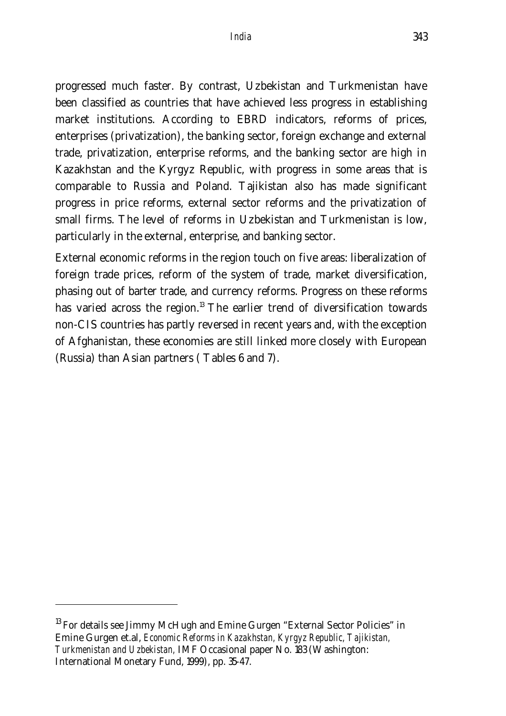progressed much faster. By contrast, Uzbekistan and Turkmenistan have been classified as countries that have achieved less progress in establishing market institutions. According to EBRD indicators, reforms of prices, enterprises (privatization), the banking sector, foreign exchange and external trade, privatization, enterprise reforms, and the banking sector are high in Kazakhstan and the Kyrgyz Republic, with progress in some areas that is comparable to Russia and Poland. Tajikistan also has made significant progress in price reforms, external sector reforms and the privatization of small firms. The level of reforms in Uzbekistan and Turkmenistan is low, particularly in the external, enterprise, and banking sector.

External economic reforms in the region touch on five areas: liberalization of foreign trade prices, reform of the system of trade, market diversification, phasing out of barter trade, and currency reforms. Progress on these reforms has varied across the region.<sup>13</sup> The earlier trend of diversification towards non-CIS countries has partly reversed in recent years and, with the exception of Afghanistan, these economies are still linked more closely with European (Russia) than Asian partners ( Tables 6 and 7).

<sup>&</sup>lt;sup>13</sup> For details see Jimmy McHugh and Emine Gurgen "External Sector Policies" in Emine Gurgen et.al, *Economic Reforms in Kazakhstan, Kyrgyz Republic, Tajikistan, Turkmenistan and Uzbekistan,* IMF Occasional paper No. 183 (Washington: International Monetary Fund, 1999), pp. 35-47.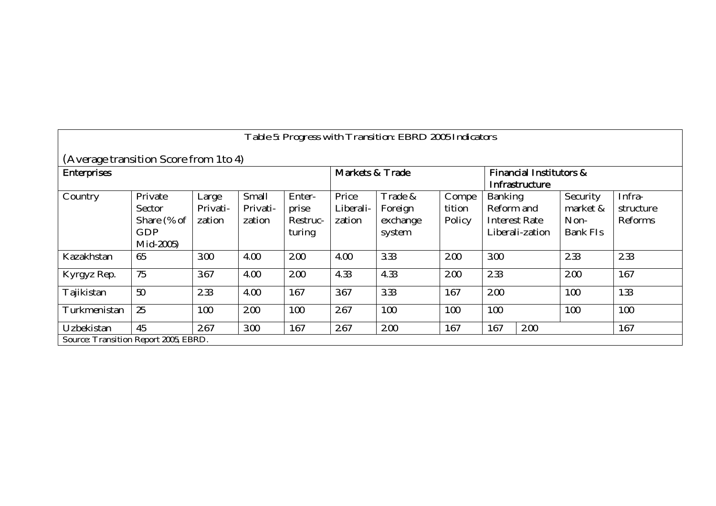|                                                                                                 | Table 5: Progress with Transition: EBRD 2005 Indicators |          |          |          |           |          |        |                |                      |                 |                |
|-------------------------------------------------------------------------------------------------|---------------------------------------------------------|----------|----------|----------|-----------|----------|--------|----------------|----------------------|-----------------|----------------|
| (Average transition Score from 1 to 4)                                                          |                                                         |          |          |          |           |          |        |                |                      |                 |                |
| Markets & Trade<br><b>Financial Institutors &amp;</b><br><b>Enterprises</b>                     |                                                         |          |          |          |           |          |        |                |                      |                 |                |
| <b>Infrastructure</b>                                                                           |                                                         |          |          |          |           |          |        |                |                      |                 |                |
| Country                                                                                         | Private                                                 | Large    | Small    | Enter-   | Price     | Trade &  | Compe  | <b>Banking</b> |                      | Security        | Infra-         |
|                                                                                                 | Sector                                                  | Privati- | Privati- | prise    | Liberali- | Foreign  | tition | Reform and     |                      | market &        | structure      |
|                                                                                                 | Share (% of                                             | zation   | zation   | Restruc- | zation    | exchange | Policy |                | <b>Interest Rate</b> | $Non-$          | <b>Reforms</b> |
|                                                                                                 | <b>GDP</b>                                              |          |          | turing   |           | system   |        |                | Liberali-zation      | <b>Bank FIs</b> |                |
|                                                                                                 | Mid-2005)                                               |          |          |          |           |          |        |                |                      |                 |                |
| Kazakhstan                                                                                      | 65                                                      | 3.00     | 4.00     | 2.00     | 4.00      | 3.33     | 2.00   | 3.00           |                      | 2.33            | 2.33           |
| Kyrgyz Rep.                                                                                     | 75                                                      | 3.67     | 4.00     | 2.00     | 4.33      | 4.33     | 2.00   | 2.33           |                      | 2.00            | 1.67           |
| Tajikistan                                                                                      | 50                                                      | 2.33     | 4.00     | 1.67     | 3.67      | 3.33     | 1.67   | 2.00           |                      | 1.00            | 1.33           |
| Turkmenistan<br>25<br>2.00<br>1.00<br>2.67<br>1.00<br>1.00<br>1.00<br>1.00<br>1.00<br>$1.00\,$  |                                                         |          |          |          |           |          |        |                |                      |                 |                |
| 45<br><b>Uzbekistan</b><br>2.67<br>3.00<br>1.67<br>2.67<br>2.00<br>1.67<br>1.67<br>2.00<br>1.67 |                                                         |          |          |          |           |          |        |                |                      |                 |                |
| Source: Transition Report 2005, EBRD.                                                           |                                                         |          |          |          |           |          |        |                |                      |                 |                |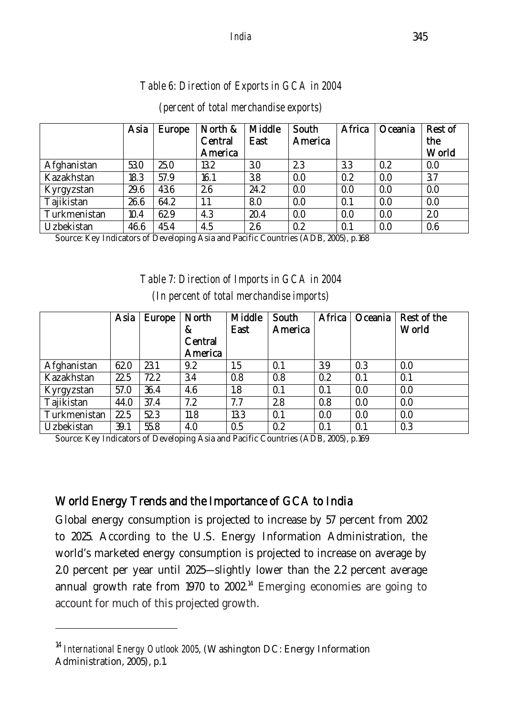#### *Table 6: Direction of Exports in GCA in 2004*

|              | Asia | <b>Europe</b> | North &        | <b>Middle</b> | South   | Africa | Oceania | <b>Rest of</b> |
|--------------|------|---------------|----------------|---------------|---------|--------|---------|----------------|
|              |      |               | <b>Central</b> | <b>East</b>   | America |        |         | the            |
|              |      |               | America        |               |         |        |         | <b>World</b>   |
| Afghanistan  | 53.0 | 25.0          | 13.2           | 3.0           | 2.3     | 3.3    | 0.2     | 0.0            |
| Kazakhstan   | 18.3 | 57.9          | 16.1           | 3.8           | 0.0     | 0.2    | 0.0     | 3.7            |
| Kyrgyzstan   | 29.6 | 43.6          | 2.6            | 24.2          | 0.0     | 0.0    | 0.0     | 0.0            |
| Tajikistan   | 26.6 | 64.2          | 1.1            | 8.0           | 0.0     | 0.1    | 0.0     | 0.0            |
| Turkmenistan | 10.4 | 62.9          | 4.3            | 20.4          | 0.0     | 0.0    | 0.0     | 2.0            |
| Uzbekistan   | 46.6 | 45.4          | 4.5            | 2.6           | 0.2     | 0.1    | 0.0     | 0.6            |

#### *(percent of total merchandise exports)*

Source: Key Indicators of Developing Asia and Pacific Countries (ADB, 2005), p.168

## *Table 7: Direction of Imports in GCA in 2004 (In percent of total merchandise imports)*

|              | Asia | <b>Europe</b> | <b>North</b>   | <b>Middle</b> | South   | Africa | Oceania | Rest of the |
|--------------|------|---------------|----------------|---------------|---------|--------|---------|-------------|
|              |      |               | &              | East          | America |        |         | World       |
|              |      |               | <b>Central</b> |               |         |        |         |             |
|              |      |               | America        |               |         |        |         |             |
| Afghanistan  | 62.0 | 23.1          | 9.2            | 1.5           | 0.1     | 3.9    | 0.3     | 0.0         |
| Kazakhstan   | 22.5 | 72.2          | 3.4            | 0.8           | 0.8     | 0.2    | 0.1     | 0.1         |
| Kyrgyzstan   | 57.0 | 36.4          | 4.6            | 1.8           | 0.1     | 0.1    | 0.0     | 0.0         |
| Tajikistan   | 44.0 | 37.4          | 7.2            | 7.7           | 2.8     | 0.8    | 0.0     | 0.0         |
| Turkmenistan | 22.5 | 52.3          | 11.8           | 13.3          | 0.1     | 0.0    | 0.0     | 0.0         |
| Uzbekistan   | 39.1 | 55.8          | 4.0            | 0.5           | 0.2     | 0.1    | 0.1     | 0.3         |

Source: Key Indicators of Developing Asia and Pacific Countries (ADB, 2005), p.169

#### World Energy Trends and the Importance of GCA to India

Global energy consumption is projected to increase by 57 percent from 2002 to 2025. According to the U.S. Energy Information Administration, the world's marketed energy consumption is projected to increase on average by 2.0 percent per year until 2025—slightly lower than the 2.2 percent average annual growth rate from  $1970$  to  $2002<sup>14</sup>$  Emerging economies are going to account for much of this projected growth.

<sup>14</sup> *International Energy Outlook 2005*, (Washington DC: Energy Information Administration, 2005), p.1.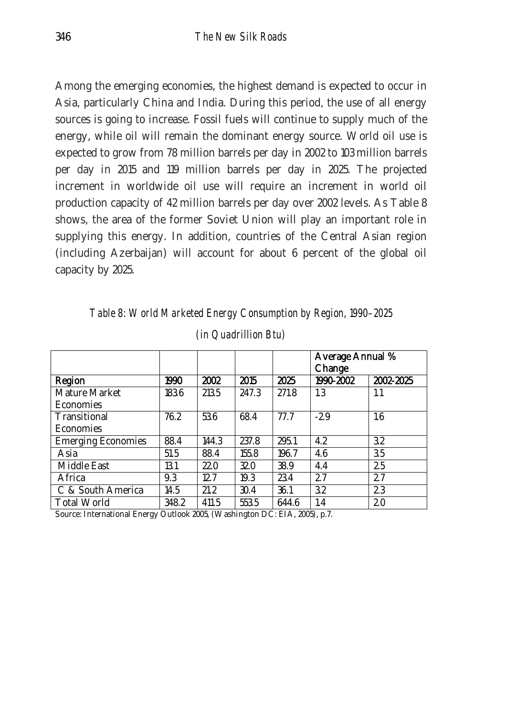Among the emerging economies, the highest demand is expected to occur in Asia, particularly China and India. During this period, the use of all energy sources is going to increase. Fossil fuels will continue to supply much of the energy, while oil will remain the dominant energy source. World oil use is expected to grow from 78 million barrels per day in 2002 to 103 million barrels per day in 2015 and 119 million barrels per day in 2025. The projected increment in worldwide oil use will require an increment in world oil production capacity of 42 million barrels per day over 2002 levels. As Table 8 shows, the area of the former Soviet Union will play an important role in supplying this energy. In addition, countries of the Central Asian region (including Azerbaijan) will account for about 6 percent of the global oil capacity by 2025.

| (ın Quadrıllıon Btu)      |       |       |       |       |                                   |                  |  |  |  |
|---------------------------|-------|-------|-------|-------|-----------------------------------|------------------|--|--|--|
|                           |       |       |       |       | <b>Average Annual %</b><br>Change |                  |  |  |  |
| <b>Region</b>             | 1990  | 2002  | 2015  | 2025  | 1990-2002                         | 2002-2025        |  |  |  |
| <b>Mature Market</b>      | 183.6 | 213.5 | 247.3 | 271.8 | 1.3                               | 1.1              |  |  |  |
| <b>Economies</b>          |       |       |       |       |                                   |                  |  |  |  |
| <b>Transitional</b>       | 76.2  | 53.6  | 68.4  | 77.7  | $-2.9$                            | $1.6\phantom{0}$ |  |  |  |
| <b>Economies</b>          |       |       |       |       |                                   |                  |  |  |  |
| <b>Emerging Economies</b> | 88.4  | 144.3 | 237.8 | 295.1 | 4.2                               | 3.2              |  |  |  |
| Asia                      | 51.5  | 88.4  | 155.8 | 196.7 | 4.6                               | 3.5              |  |  |  |
| <b>Middle East</b>        | 13.1  | 22.0  | 32.0  | 38.9  | 4.4                               | 2.5              |  |  |  |
| Africa                    | 9.3   | 12.7  | 19.3  | 23.4  | 2.7                               | 2.7              |  |  |  |
| C & South America         | 14.5  | 21.2  | 30.4  | 36.1  | 3.2                               | 2.3              |  |  |  |
| <b>Total World</b>        | 348.2 | 411.5 | 553.5 | 644.6 | 1.4                               | 2.0              |  |  |  |

*Table 8: World Marketed Energy Consumption by Region, 1990–2025* 

## *(in Quadrillion Btu)*

Source: International Energy Outlook 2005, (Washington DC: EIA, 2005), p.7.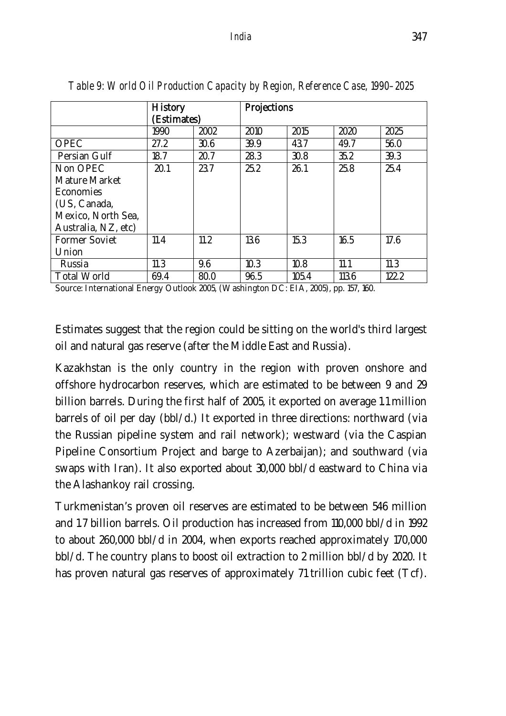|                      | <b>History</b> |             | <b>Projections</b> |       |       |       |  |
|----------------------|----------------|-------------|--------------------|-------|-------|-------|--|
|                      |                | (Estimates) |                    |       |       |       |  |
|                      | 1990           | 2002        | 2010               | 2015  | 2020  | 2025  |  |
| <b>OPEC</b>          | 27.2           | 30.6        | 39.9               | 43.7  | 49.7  | 56.0  |  |
| Persian Gulf         | 18.7           | 20.7        | 28.3               | 30.8  | 35.2  | 39.3  |  |
| Non OPEC             | 20.1           | 23.7        | 25.2               | 26.1  | 25.8  | 25.4  |  |
| <b>Mature Market</b> |                |             |                    |       |       |       |  |
| <b>Economies</b>     |                |             |                    |       |       |       |  |
| (US, Canada,         |                |             |                    |       |       |       |  |
| Mexico, North Sea,   |                |             |                    |       |       |       |  |
| Australia, NZ, etc)  |                |             |                    |       |       |       |  |
| <b>Former Soviet</b> | 11.4           | 11.2        | 13.6               | 15.3  | 16.5  | 17.6  |  |
| Union                |                |             |                    |       |       |       |  |
| Russia               | 11.3           | 9.6         | 10.3               | 10.8  | 11.1  | 11.3  |  |
| <b>Total World</b>   | 69.4           | 80.0        | 96.5               | 105.4 | 113.6 | 122.2 |  |

*Table 9: World Oil Production Capacity by Region, Reference Case, 1990–2025* 

Source: International Energy Outlook 2005, (Washington DC: EIA, 2005), pp. 157, 160.

Estimates suggest that the region could be sitting on the world's third largest oil and natural gas reserve (after the Middle East and Russia).

Kazakhstan is the only country in the region with proven onshore and offshore hydrocarbon reserves, which are estimated to be between 9 and 29 billion barrels. During the first half of 2005, it exported on average 1.1 million barrels of oil per day (bbl/d.) It exported in three directions: northward (via the Russian pipeline system and rail network); westward (via the Caspian Pipeline Consortium Project and barge to Azerbaijan); and southward (via swaps with Iran). It also exported about 30,000 bbl/d eastward to China via the Alashankoy rail crossing.

Turkmenistan's proven oil reserves are estimated to be between 546 million and 1.7 billion barrels. Oil production has increased from 110,000 bbl/d in 1992 to about 260,000 bbl/d in 2004, when exports reached approximately 170,000 bbl/d. The country plans to boost oil extraction to 2 million bbl/d by 2020. It has proven natural gas reserves of approximately 71 trillion cubic feet (Tcf).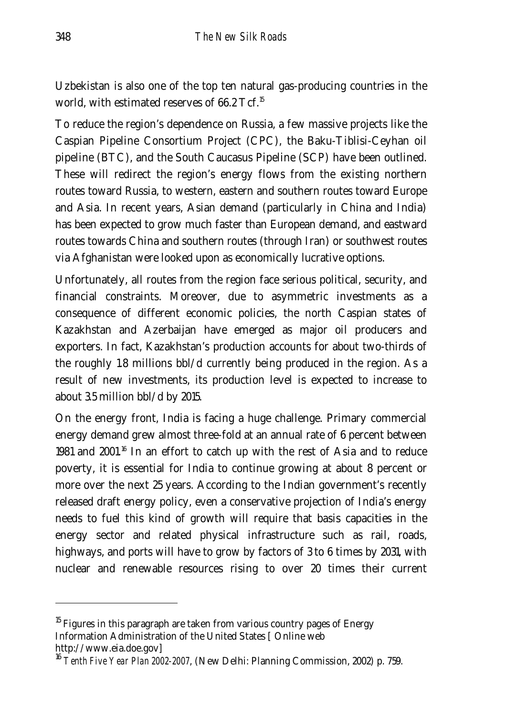Uzbekistan is also one of the top ten natural gas-producing countries in the world, with estimated reserves of 66.2 Tcf.<sup>15</sup>

To reduce the region's dependence on Russia, a few massive projects like the Caspian Pipeline Consortium Project (CPC), the Baku-Tiblisi-Ceyhan oil pipeline (BTC), and the South Caucasus Pipeline (SCP) have been outlined. These will redirect the region's energy flows from the existing northern routes toward Russia, to western, eastern and southern routes toward Europe and Asia. In recent years, Asian demand (particularly in China and India) has been expected to grow much faster than European demand, and eastward routes towards China and southern routes (through Iran) or southwest routes via Afghanistan were looked upon as economically lucrative options.

Unfortunately, all routes from the region face serious political, security, and financial constraints. Moreover, due to asymmetric investments as a consequence of different economic policies, the north Caspian states of Kazakhstan and Azerbaijan have emerged as major oil producers and exporters. In fact, Kazakhstan's production accounts for about two-thirds of the roughly 1.8 millions bbl/d currently being produced in the region. As a result of new investments, its production level is expected to increase to about 3.5 million bbl/d by 2015.

On the energy front, India is facing a huge challenge. Primary commercial energy demand grew almost three-fold at an annual rate of 6 percent between 1981 and 2001.<sup>16</sup> In an effort to catch up with the rest of Asia and to reduce poverty, it is essential for India to continue growing at about 8 percent or more over the next 25 years. According to the Indian government's recently released draft energy policy, even a conservative projection of India's energy needs to fuel this kind of growth will require that basis capacities in the energy sector and related physical infrastructure such as rail, roads, highways, and ports will have to grow by factors of 3 to 6 times by 2031, with nuclear and renewable resources rising to over 20 times their current

 $15$  Figures in this paragraph are taken from various country pages of Energy Information Administration of the United States [ Online web http://www.eia.doe.gov]

<sup>16</sup> *Tenth Five Year Plan 2002-2007*, (New Delhi: Planning Commission, 2002) p. 759.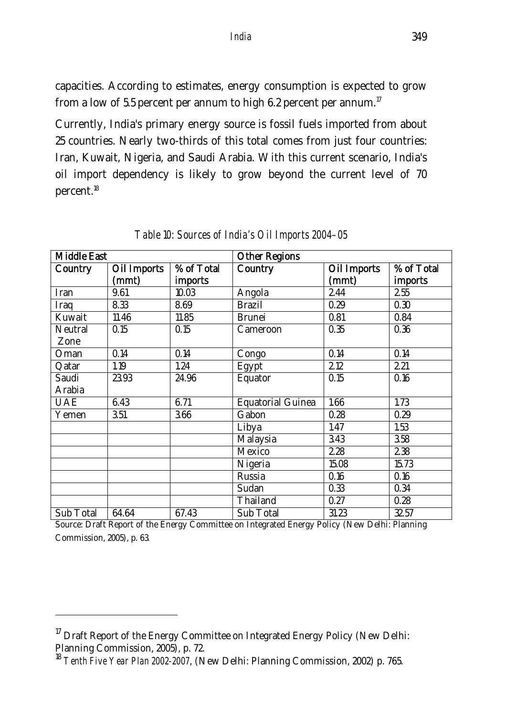capacities. According to estimates, energy consumption is expected to grow from a low of 5.5 percent per annum to high 6.2 percent per annum.<sup>17</sup>

Currently, India's primary energy source is fossil fuels imported from about 25 countries. Nearly two-thirds of this total comes from just four countries: Iran, Kuwait, Nigeria, and Saudi Arabia. With this current scenario, India's oil import dependency is likely to grow beyond the current level of 70 percent.18

| <b>Middle East</b> |                    |            | <b>Other Regions</b>     |                    |            |
|--------------------|--------------------|------------|--------------------------|--------------------|------------|
| Country            | <b>Oil Imports</b> | % of Total | Country                  | <b>Oil Imports</b> | % of Total |
|                    | (mmt)              | imports    |                          | (mmt)              | imports    |
| <b>Iran</b>        | 9.61               | 10.03      | Angola                   | 2.44               | 2.55       |
| Iraq               | 8.33               | 8.69       | <b>Brazil</b>            | 0.29               | 0.30       |
| Kuwait             | 11.46              | 11.85      | <b>Brunei</b>            | 0.81               | 0.84       |
| <b>Neutral</b>     | 0.15               | 0.15       | Cameroon                 | 0.35               | 0.36       |
| Zone               |                    |            |                          |                    |            |
| Oman               | 0.14               | 0.14       | Congo                    | 0.14               | 0.14       |
| Qatar              | 1.19               | 1.24       | Egypt                    | 2.12               | 2.21       |
| Saudi              | 23.93              | 24.96      | Equator                  | 0.15               | 0.16       |
| Arabia             |                    |            |                          |                    |            |
| <b>UAE</b>         | 6.43               | 6.71       | <b>Equatorial Guinea</b> | 1.66               | 1.73       |
| Yemen              | 3.51               | 3.66       | Gabon                    | 0.28               | 0.29       |
|                    |                    |            | Libya                    | 1.47               | 1.53       |
|                    |                    |            | Malaysia                 | 3.43               | 3.58       |
|                    |                    |            | Mexico                   | 2.28               | 2.38       |
|                    |                    |            | Nigeria                  | 15.08              | 15.73      |
|                    |                    |            | Russia                   | 0.16               | 0.16       |
|                    |                    |            | Sudan                    | 0.33               | 0.34       |
|                    |                    |            | <b>Thailand</b>          | 0.27               | 0.28       |
| <b>Sub Total</b>   | 64.64              | 67.43      | <b>Sub Total</b>         | 31.23              | 32.57      |

*Table 10: Sources of India's Oil Imports 2004–05* 

Source: Draft Report of the Energy Committee on Integrated Energy Policy (New Delhi: Planning Commission, 2005), p. 63.

<sup>&</sup>lt;sup>17</sup> Draft Report of the Energy Committee on Integrated Energy Policy (New Delhi: Planning Commission, 2005), p. 72.

<sup>18</sup> *Tenth Five Year Plan 2002-2007*, (New Delhi: Planning Commission, 2002) p. 765.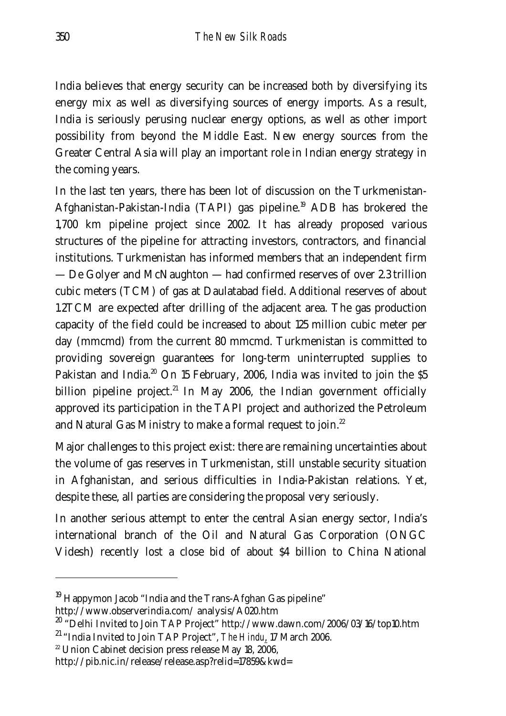India believes that energy security can be increased both by diversifying its energy mix as well as diversifying sources of energy imports. As a result, India is seriously perusing nuclear energy options, as well as other import possibility from beyond the Middle East. New energy sources from the Greater Central Asia will play an important role in Indian energy strategy in the coming years.

In the last ten years, there has been lot of discussion on the Turkmenistan-Afghanistan-Pakistan-India (TAPI) gas pipeline.<sup>19</sup> ADB has brokered the 1,700 km pipeline project since 2002. It has already proposed various structures of the pipeline for attracting investors, contractors, and financial institutions. Turkmenistan has informed members that an independent firm — De Golyer and McNaughton — had confirmed reserves of over 2.3 trillion cubic meters (TCM) of gas at Daulatabad field. Additional reserves of about 1.2TCM are expected after drilling of the adjacent area. The gas production capacity of the field could be increased to about 125 million cubic meter per day (mmcmd) from the current 80 mmcmd. Turkmenistan is committed to providing sovereign guarantees for long-term uninterrupted supplies to Pakistan and India.<sup>20</sup> On 15 February, 2006, India was invited to join the \$5 billion pipeline project.<sup>21</sup> In May 2006, the Indian government officially approved its participation in the TAPI project and authorized the Petroleum and Natural Gas Ministry to make a formal request to join.<sup>22</sup>

Major challenges to this project exist: there are remaining uncertainties about the volume of gas reserves in Turkmenistan, still unstable security situation in Afghanistan, and serious difficulties in India-Pakistan relations. Yet, despite these, all parties are considering the proposal very seriously.

In another serious attempt to enter the central Asian energy sector, India's international branch of the Oil and Natural Gas Corporation (ONGC Videsh) recently lost a close bid of about \$4 billion to China National

<sup>&</sup>lt;sup>19</sup> Happymon Jacob "India and the Trans-Afghan Gas pipeline"

http://www.observerindia.com/ analysis/A020.htm

<sup>&</sup>lt;sup>20</sup> "Delhi Invited to Join TAP Project" http://www.dawn.com/2006/03/16/top10.htm

<sup>21 &</sup>quot;India Invited to Join TAP Project", *The Hindu*, 17 March 2006.

<sup>&</sup>lt;sup>22</sup> Union Cabinet decision press release May 18, 2006,

http://pib.nic.in/release/release.asp?relid=17859&kwd=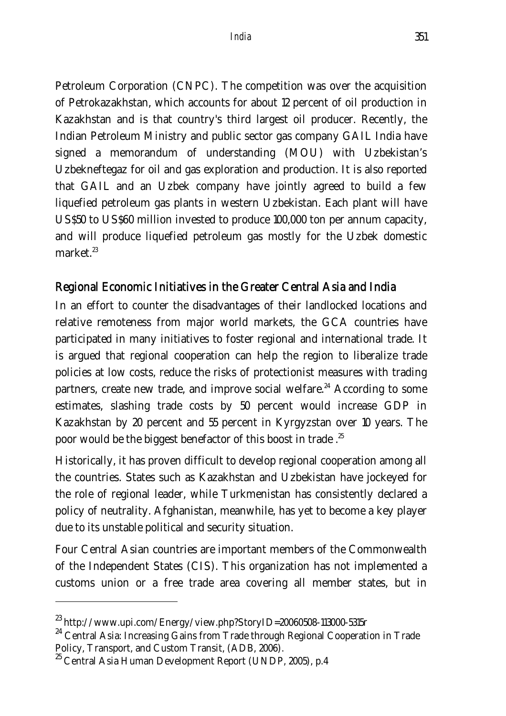Petroleum Corporation (CNPC). The competition was over the acquisition of Petrokazakhstan, which accounts for about 12 percent of oil production in Kazakhstan and is that country's third largest oil producer. Recently, the Indian Petroleum Ministry and public sector gas company GAIL India have signed a memorandum of understanding (MOU) with Uzbekistan's Uzbekneftegaz for oil and gas exploration and production. It is also reported that GAIL and an Uzbek company have jointly agreed to build a few liquefied petroleum gas plants in western Uzbekistan. Each plant will have US\$50 to US\$60 million invested to produce 100,000 ton per annum capacity, and will produce liquefied petroleum gas mostly for the Uzbek domestic market.<sup>23</sup>

## Regional Economic Initiatives in the Greater Central Asia and India

In an effort to counter the disadvantages of their landlocked locations and relative remoteness from major world markets, the GCA countries have participated in many initiatives to foster regional and international trade. It is argued that regional cooperation can help the region to liberalize trade policies at low costs, reduce the risks of protectionist measures with trading partners, create new trade, and improve social welfare.<sup>24</sup> According to some estimates, slashing trade costs by 50 percent would increase GDP in Kazakhstan by 20 percent and 55 percent in Kyrgyzstan over 10 years. The poor would be the biggest benefactor of this boost in trade .25

Historically, it has proven difficult to develop regional cooperation among all the countries. States such as Kazakhstan and Uzbekistan have jockeyed for the role of regional leader, while Turkmenistan has consistently declared a policy of neutrality. Afghanistan, meanwhile, has yet to become a key player due to its unstable political and security situation.

Four Central Asian countries are important members of the Commonwealth of the Independent States (CIS). This organization has not implemented a customs union or a free trade area covering all member states, but in

<sup>23</sup> http://www.upi.com/Energy/view.php?StoryID=20060508-113000-5315r

<sup>&</sup>lt;sup>24</sup> Central Asia: Increasing Gains from Trade through Regional Cooperation in Trade Policy, Transport, and Custom Transit, (ADB, 2006).

<sup>&</sup>lt;sup>25</sup> Central Asia Human Development Report (UNDP, 2005), p.4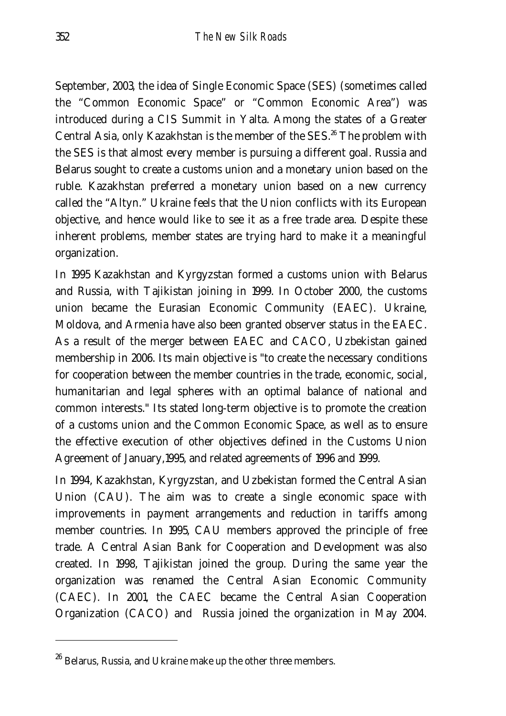September, 2003, the idea of Single Economic Space (SES) (sometimes called the "Common Economic Space" or "Common Economic Area") was introduced during a CIS Summit in Yalta. Among the states of a Greater Central Asia, only Kazakhstan is the member of the SES.<sup>26</sup> The problem with the SES is that almost every member is pursuing a different goal. Russia and Belarus sought to create a customs union and a monetary union based on the ruble. Kazakhstan preferred a monetary union based on a new currency called the "Altyn." Ukraine feels that the Union conflicts with its European objective, and hence would like to see it as a free trade area. Despite these inherent problems, member states are trying hard to make it a meaningful organization.

In 1995 Kazakhstan and Kyrgyzstan formed a customs union with Belarus and Russia, with Tajikistan joining in 1999. In October 2000, the customs union became the Eurasian Economic Community (EAEC). Ukraine, Moldova, and Armenia have also been granted observer status in the EAEC. As a result of the merger between EAEC and CACO, Uzbekistan gained membership in 2006. Its main objective is "to create the necessary conditions for cooperation between the member countries in the trade, economic, social, humanitarian and legal spheres with an optimal balance of national and common interests." Its stated long-term objective is to promote the creation of a customs union and the Common Economic Space, as well as to ensure the effective execution of other objectives defined in the Customs Union Agreement of January,1995, and related agreements of 1996 and 1999.

In 1994, Kazakhstan, Kyrgyzstan, and Uzbekistan formed the Central Asian Union (CAU). The aim was to create a single economic space with improvements in payment arrangements and reduction in tariffs among member countries. In 1995, CAU members approved the principle of free trade. A Central Asian Bank for Cooperation and Development was also created. In 1998, Tajikistan joined the group. During the same year the organization was renamed the Central Asian Economic Community (CAEC). In 2001, the CAEC became the Central Asian Cooperation Organization (CACO) and Russia joined the organization in May 2004.

<sup>&</sup>lt;sup>26</sup> Belarus, Russia, and Ukraine make up the other three members.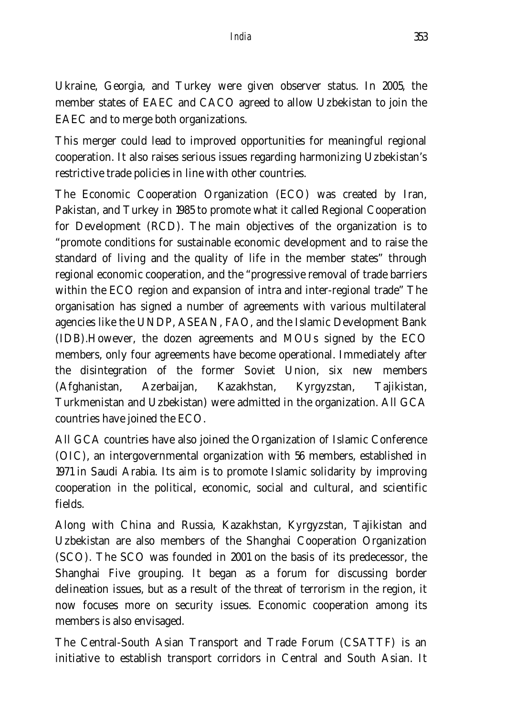Ukraine, Georgia, and Turkey were given observer status. In 2005, the member states of EAEC and CACO agreed to allow Uzbekistan to join the EAEC and to merge both organizations.

This merger could lead to improved opportunities for meaningful regional cooperation. It also raises serious issues regarding harmonizing Uzbekistan's restrictive trade policies in line with other countries.

The Economic Cooperation Organization (ECO) was created by Iran, Pakistan, and Turkey in 1985 to promote what it called Regional Cooperation for Development (RCD). The main objectives of the organization is to "promote conditions for sustainable economic development and to raise the standard of living and the quality of life in the member states" through regional economic cooperation, and the "progressive removal of trade barriers within the ECO region and expansion of intra and inter-regional trade" The organisation has signed a number of agreements with various multilateral agencies like the UNDP, ASEAN, FAO, and the Islamic Development Bank (IDB).However, the dozen agreements and MOUs signed by the ECO members, only four agreements have become operational. Immediately after the disintegration of the former Soviet Union, six new members (Afghanistan, Azerbaijan, Kazakhstan, Kyrgyzstan, Tajikistan, Turkmenistan and Uzbekistan) were admitted in the organization. All GCA countries have joined the ECO.

All GCA countries have also joined the Organization of Islamic Conference (OIC), an intergovernmental organization with 56 members, established in 1971 in Saudi Arabia. Its aim is to promote Islamic solidarity by improving cooperation in the political, economic, social and cultural, and scientific fields.

Along with China and Russia, Kazakhstan, Kyrgyzstan, Tajikistan and Uzbekistan are also members of the Shanghai Cooperation Organization (SCO). The SCO was founded in 2001 on the basis of its predecessor, the Shanghai Five grouping. It began as a forum for discussing border delineation issues, but as a result of the threat of terrorism in the region, it now focuses more on security issues. Economic cooperation among its members is also envisaged.

The Central-South Asian Transport and Trade Forum (CSATTF) is an initiative to establish transport corridors in Central and South Asian. It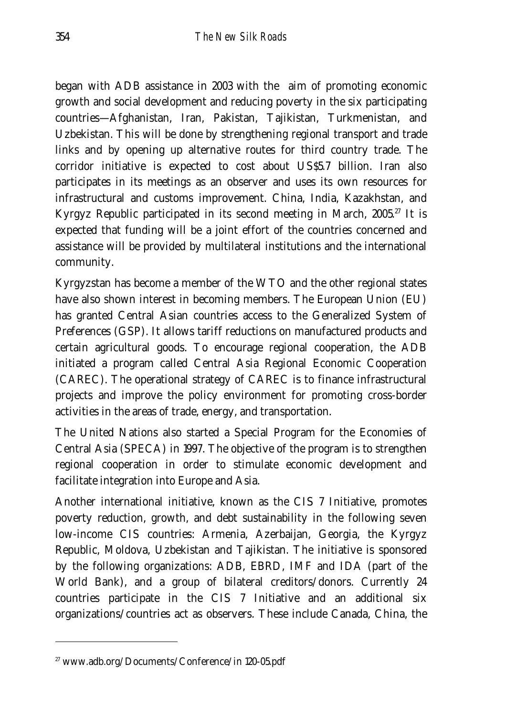began with ADB assistance in 2003 with the aim of promoting economic growth and social development and reducing poverty in the six participating countries—Afghanistan, Iran, Pakistan, Tajikistan, Turkmenistan, and Uzbekistan. This will be done by strengthening regional transport and trade links and by opening up alternative routes for third country trade. The corridor initiative is expected to cost about US\$5.7 billion. Iran also participates in its meetings as an observer and uses its own resources for infrastructural and customs improvement. China, India, Kazakhstan, and Kyrgyz Republic participated in its second meeting in March, 2005.<sup>27</sup> It is expected that funding will be a joint effort of the countries concerned and assistance will be provided by multilateral institutions and the international community.

Kyrgyzstan has become a member of the WTO and the other regional states have also shown interest in becoming members. The European Union (EU) has granted Central Asian countries access to the Generalized System of Preferences (GSP). It allows tariff reductions on manufactured products and certain agricultural goods. To encourage regional cooperation, the ADB initiated a program called Central Asia Regional Economic Cooperation (CAREC). The operational strategy of CAREC is to finance infrastructural projects and improve the policy environment for promoting cross-border activities in the areas of trade, energy, and transportation.

The United Nations also started a Special Program for the Economies of Central Asia (SPECA) in 1997. The objective of the program is to strengthen regional cooperation in order to stimulate economic development and facilitate integration into Europe and Asia.

Another international initiative, known as the CIS 7 Initiative, promotes poverty reduction, growth, and debt sustainability in the following seven low-income CIS countries: Armenia, Azerbaijan, Georgia, the Kyrgyz Republic, Moldova, Uzbekistan and Tajikistan. The initiative is sponsored by the following organizations: ADB, EBRD, IMF and IDA (part of the World Bank), and a group of bilateral creditors/donors. Currently 24 countries participate in the CIS 7 Initiative and an additional six organizations/countries act as observers. These include Canada, China, the

<sup>27</sup> www.adb.org/Documents/Conference/in 120-05.pdf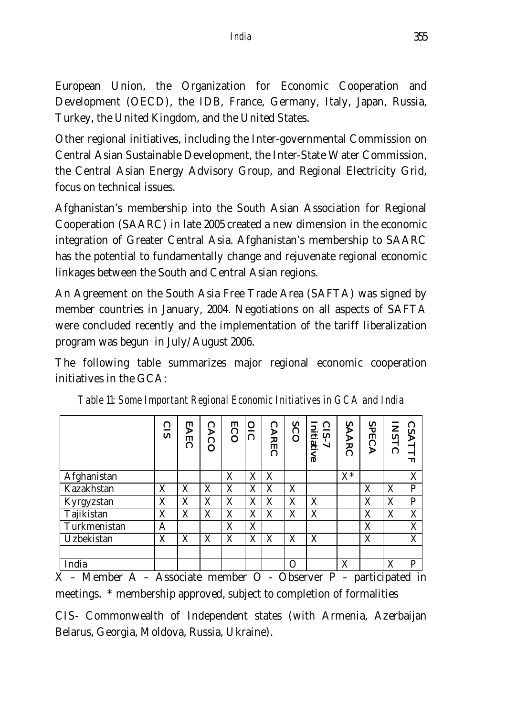European Union, the Organization for Economic Cooperation and Development (OECD), the IDB, France, Germany, Italy, Japan, Russia, Turkey, the United Kingdom, and the United States.

Other regional initiatives, including the Inter-governmental Commission on Central Asian Sustainable Development, the Inter-State Water Commission, the Central Asian Energy Advisory Group, and Regional Electricity Grid, focus on technical issues.

Afghanistan's membership into the South Asian Association for Regional Cooperation (SAARC) in late 2005 created a new dimension in the economic integration of Greater Central Asia. Afghanistan's membership to SAARC has the potential to fundamentally change and rejuvenate regional economic linkages between the South and Central Asian regions.

An Agreement on the South Asia Free Trade Area (SAFTA) was signed by member countries in January, 2004. Negotiations on all aspects of SAFTA were concluded recently and the implementation of the tariff liberalization program was begun in July/August 2006.

The following table summarizes major regional economic cooperation initiatives in the GCA:

|              | CIS | <b>EAEC</b> | Q<br>λÖ<br>Ο<br>∩ | ECO                   | OIC | <b>CAREC</b> | SCO            | Initiative<br>CIS-7 | SAARC | SPECA | <b>INSTC</b> | <b>CSA</b><br>ਜ਼ |
|--------------|-----|-------------|-------------------|-----------------------|-----|--------------|----------------|---------------------|-------|-------|--------------|------------------|
| Afghanistan  |     |             |                   | X                     | X   | X            |                |                     | $X^*$ |       |              | X                |
| Kazakhstan   | X   | X           | X                 | $\overline{\text{X}}$ | X   | X            | X              |                     |       | X     | X            | $\mathbf{P}$     |
| Kyrgyzstan   | X   | X           | X                 | X                     | X   | X            | X              | X                   |       | X     | X            | $\mathbf{P}$     |
| Tajikistan   | X   | X           | X                 | $\rm\overline{X}$     | X   | X            | X              | X                   |       | X     | X            | X                |
| Turkmenistan | A   |             |                   | X                     | X   |              |                |                     |       | X     |              | X                |
| Uzbekistan   | X   | X           | X                 | X                     | X   | X            | X              | X                   |       | X     |              | X                |
| India        |     |             |                   |                       |     |              | $\overline{O}$ |                     | X     |       | X            | P                |

*Table 11: Some Important Regional Economic Initiatives in GCA and India*

X – Member A – Associate member O - Observer P – participated in meetings. \* membership approved, subject to completion of formalities

CIS- Commonwealth of Independent states (with Armenia, Azerbaijan Belarus, Georgia, Moldova, Russia, Ukraine).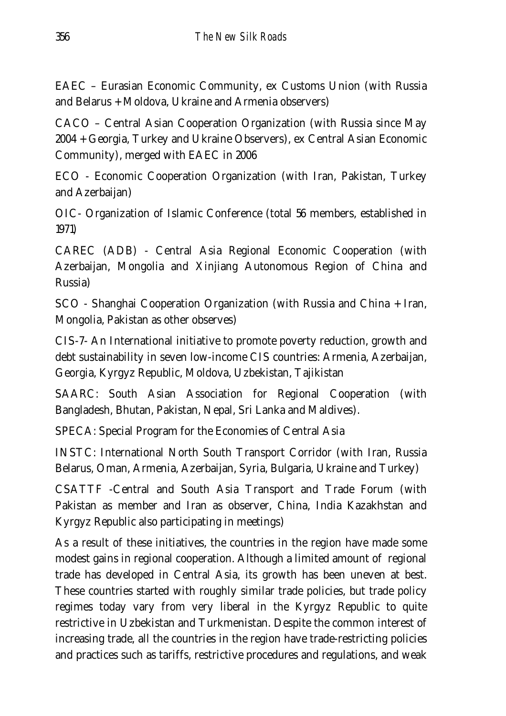EAEC – Eurasian Economic Community, ex Customs Union (with Russia and Belarus + Moldova, Ukraine and Armenia observers)

CACO – Central Asian Cooperation Organization (with Russia since May 2004 + Georgia, Turkey and Ukraine Observers), ex Central Asian Economic Community), merged with EAEC in 2006

ECO - Economic Cooperation Organization (with Iran, Pakistan, Turkey and Azerbaijan)

OIC- Organization of Islamic Conference (total 56 members, established in 1971)

CAREC (ADB) - Central Asia Regional Economic Cooperation (with Azerbaijan, Mongolia and Xinjiang Autonomous Region of China and Russia)

SCO - Shanghai Cooperation Organization (with Russia and China + Iran, Mongolia, Pakistan as other observes)

CIS-7- An International initiative to promote poverty reduction, growth and debt sustainability in seven low-income CIS countries: Armenia, Azerbaijan, Georgia, Kyrgyz Republic, Moldova, Uzbekistan, Tajikistan

SAARC: South Asian Association for Regional Cooperation (with Bangladesh, Bhutan, Pakistan, Nepal, Sri Lanka and Maldives).

SPECA: Special Program for the Economies of Central Asia

INSTC: International North South Transport Corridor (with Iran, Russia Belarus, Oman, Armenia, Azerbaijan, Syria, Bulgaria, Ukraine and Turkey)

CSATTF -Central and South Asia Transport and Trade Forum (with Pakistan as member and Iran as observer, China, India Kazakhstan and Kyrgyz Republic also participating in meetings)

As a result of these initiatives, the countries in the region have made some modest gains in regional cooperation. Although a limited amount of regional trade has developed in Central Asia, its growth has been uneven at best. These countries started with roughly similar trade policies, but trade policy regimes today vary from very liberal in the Kyrgyz Republic to quite restrictive in Uzbekistan and Turkmenistan. Despite the common interest of increasing trade, all the countries in the region have trade-restricting policies and practices such as tariffs, restrictive procedures and regulations, and weak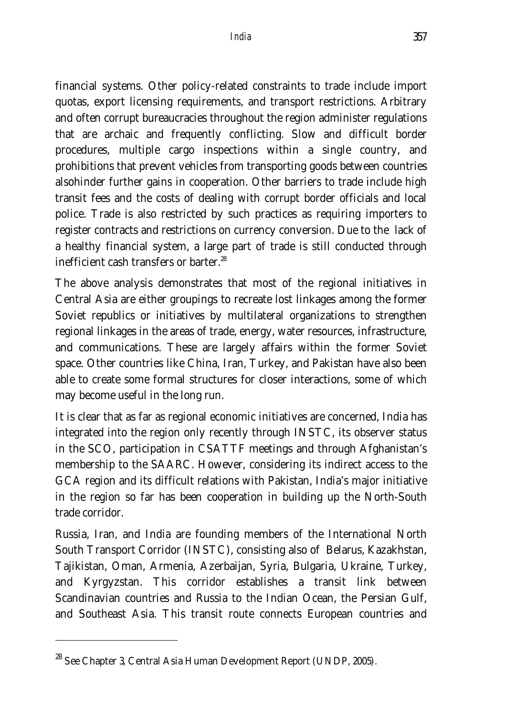financial systems. Other policy-related constraints to trade include import quotas, export licensing requirements, and transport restrictions. Arbitrary and often corrupt bureaucracies throughout the region administer regulations that are archaic and frequently conflicting. Slow and difficult border procedures, multiple cargo inspections within a single country, and prohibitions that prevent vehicles from transporting goods between countries alsohinder further gains in cooperation. Other barriers to trade include high transit fees and the costs of dealing with corrupt border officials and local police. Trade is also restricted by such practices as requiring importers to register contracts and restrictions on currency conversion. Due to the lack of a healthy financial system, a large part of trade is still conducted through inefficient cash transfers or barter.<sup>28</sup>

The above analysis demonstrates that most of the regional initiatives in Central Asia are either groupings to recreate lost linkages among the former Soviet republics or initiatives by multilateral organizations to strengthen regional linkages in the areas of trade, energy, water resources, infrastructure, and communications. These are largely affairs within the former Soviet space. Other countries like China, Iran, Turkey, and Pakistan have also been able to create some formal structures for closer interactions, some of which may become useful in the long run.

It is clear that as far as regional economic initiatives are concerned, India has integrated into the region only recently through INSTC, its observer status in the SCO, participation in CSATTF meetings and through Afghanistan's membership to the SAARC. However, considering its indirect access to the GCA region and its difficult relations with Pakistan, India's major initiative in the region so far has been cooperation in building up the North-South trade corridor.

Russia, Iran, and India are founding members of the International North South Transport Corridor (INSTC), consisting also of Belarus, Kazakhstan, Tajikistan, Oman, Armenia, Azerbaijan, Syria, Bulgaria, Ukraine, Turkey, and Kyrgyzstan. This corridor establishes a transit link between Scandinavian countries and Russia to the Indian Ocean, the Persian Gulf, and Southeast Asia. This transit route connects European countries and

<sup>28</sup> See Chapter 3, Central Asia Human Development Report (UNDP, 2005).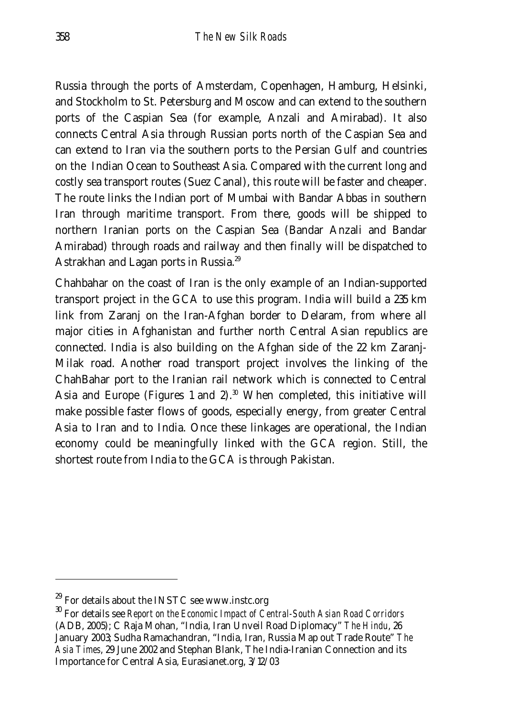Russia through the ports of Amsterdam, Copenhagen, Hamburg, Helsinki, and Stockholm to St. Petersburg and Moscow and can extend to the southern ports of the Caspian Sea (for example, Anzali and Amirabad). It also connects Central Asia through Russian ports north of the Caspian Sea and can extend to Iran via the southern ports to the Persian Gulf and countries on the Indian Ocean to Southeast Asia. Compared with the current long and costly sea transport routes (Suez Canal), this route will be faster and cheaper. The route links the Indian port of Mumbai with Bandar Abbas in southern Iran through maritime transport. From there, goods will be shipped to northern Iranian ports on the Caspian Sea (Bandar Anzali and Bandar Amirabad) through roads and railway and then finally will be dispatched to Astrakhan and Lagan ports in Russia.<sup>29</sup>

Chahbahar on the coast of Iran is the only example of an Indian-supported transport project in the GCA to use this program. India will build a 235 km link from Zaranj on the Iran-Afghan border to Delaram, from where all major cities in Afghanistan and further north Central Asian republics are connected. India is also building on the Afghan side of the 22 km Zaranj-Milak road. Another road transport project involves the linking of the ChahBahar port to the Iranian rail network which is connected to Central Asia and Europe (Figures 1 and 2).<sup>30</sup> When completed, this initiative will make possible faster flows of goods, especially energy, from greater Central Asia to Iran and to India. Once these linkages are operational, the Indian economy could be meaningfully linked with the GCA region. Still, the shortest route from India to the GCA is through Pakistan.

 $29$  For details about the INSTC see www.instc.org

<sup>30</sup> For details see *Report on the Economic Impact of Central-South Asian Road Corridors* (ADB, 2005); C Raja Mohan, "India, Iran Unveil Road Diplomacy" *The Hindu*, 26 January 2003; Sudha Ramachandran, "India, Iran, Russia Map out Trade Route" *The Asia Times*, 29 June 2002 and Stephan Blank, The India-Iranian Connection and its Importance for Central Asia, Eurasianet.org, 3/12/03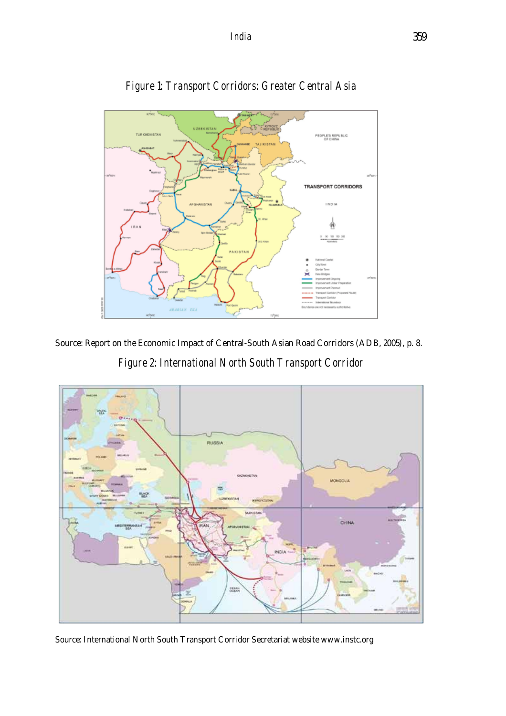

*Figure 1: Transport Corridors: Greater Central Asia* 

Source: Report on the Economic Impact of Central-South Asian Road Corridors (ADB, 2005), p. 8.

*Figure 2: International North South Transport Corridor* 



Source: International North South Transport Corridor Secretariat website www.instc.org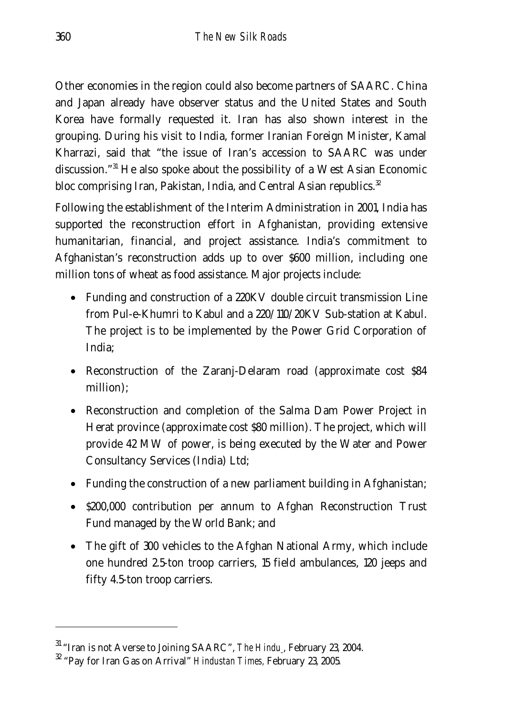Other economies in the region could also become partners of SAARC. China and Japan already have observer status and the United States and South Korea have formally requested it. Iran has also shown interest in the grouping. During his visit to India, former Iranian Foreign Minister, Kamal Kharrazi, said that "the issue of Iran's accession to SAARC was under discussion."<sup>31</sup> He also spoke about the possibility of a West Asian Economic bloc comprising Iran, Pakistan, India, and Central Asian republics. $x^2$ 

Following the establishment of the Interim Administration in 2001, India has supported the reconstruction effort in Afghanistan, providing extensive humanitarian, financial, and project assistance. India's commitment to Afghanistan's reconstruction adds up to over \$600 million, including one million tons of wheat as food assistance. Major projects include:

- Funding and construction of a 220KV double circuit transmission Line from Pul-e-Khumri to Kabul and a 220/110/20KV Sub-station at Kabul. The project is to be implemented by the Power Grid Corporation of India;
- Reconstruction of the Zaranj-Delaram road (approximate cost \$84) million);
- Reconstruction and completion of the Salma Dam Power Project in Herat province (approximate cost \$80 million). The project, which will provide 42 MW of power, is being executed by the Water and Power Consultancy Services (India) Ltd;
- Funding the construction of a new parliament building in Afghanistan;
- \$200,000 contribution per annum to Afghan Reconstruction Trust Fund managed by the World Bank; and
- The gift of 300 vehicles to the Afghan National Army, which include one hundred 2.5-ton troop carriers, 15 field ambulances, 120 jeeps and fifty 4.5-ton troop carriers.

<sup>&</sup>lt;sup>31</sup> "Iran is not Averse to Joining SAARC", *The Hindu*, February 23, 2004.

<sup>32 &</sup>quot;Pay for Iran Gas on Arrival" *Hindustan Times,* February 23, 2005*.*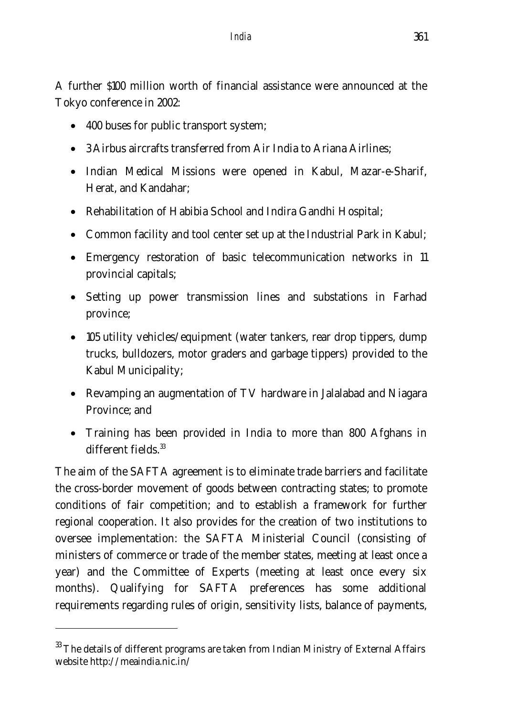A further \$100 million worth of financial assistance were announced at the Tokyo conference in 2002:

- 400 buses for public transport system;
- 3 Airbus aircrafts transferred from Air India to Ariana Airlines;
- Indian Medical Missions were opened in Kabul, Mazar-e-Sharif, Herat, and Kandahar;
- Rehabilitation of Habibia School and Indira Gandhi Hospital;
- Common facility and tool center set up at the Industrial Park in Kabul;
- Emergency restoration of basic telecommunication networks in 11 provincial capitals;
- Setting up power transmission lines and substations in Farhad province;
- 105 utility vehicles/equipment (water tankers, rear drop tippers, dump trucks, bulldozers, motor graders and garbage tippers) provided to the Kabul Municipality;
- Revamping an augmentation of TV hardware in Jalalabad and Niagara Province; and
- Training has been provided in India to more than 800 Afghans in different fields.<sup>33</sup>

The aim of the SAFTA agreement is to eliminate trade barriers and facilitate the cross-border movement of goods between contracting states; to promote conditions of fair competition; and to establish a framework for further regional cooperation. It also provides for the creation of two institutions to oversee implementation: the SAFTA Ministerial Council (consisting of ministers of commerce or trade of the member states, meeting at least once a year) and the Committee of Experts (meeting at least once every six months). Qualifying for SAFTA preferences has some additional requirements regarding rules of origin, sensitivity lists, balance of payments,

 $33$  The details of different programs are taken from Indian Ministry of External Affairs website http://meaindia.nic.in/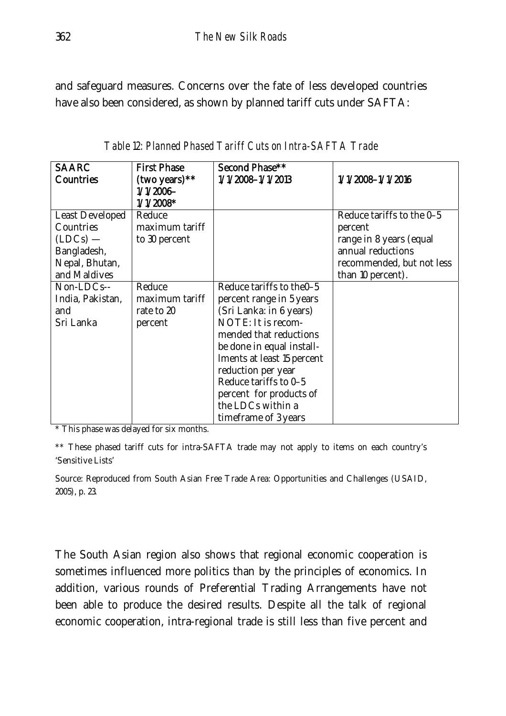and safeguard measures. Concerns over the fate of less developed countries have also been considered, as shown by planned tariff cuts under SAFTA:

| <b>SAARC</b><br><b>Countries</b>                                                                   | <b>First Phase</b><br>(two years)**<br>$1/1/2006-$<br>$1/1/2008*$ | Second Phase**<br>$1/1/2008 - 1/1/2013$                                                                                                                                                                                                                                                                           | $1/1/2008 - 1/1/2016$                                                                                                                  |
|----------------------------------------------------------------------------------------------------|-------------------------------------------------------------------|-------------------------------------------------------------------------------------------------------------------------------------------------------------------------------------------------------------------------------------------------------------------------------------------------------------------|----------------------------------------------------------------------------------------------------------------------------------------|
| <b>Least Developed</b><br>Countries<br>$(LDCs)$ —<br>Bangladesh,<br>Nepal, Bhutan,<br>and Maldives | Reduce<br>maximum tariff<br>to 30 percent                         |                                                                                                                                                                                                                                                                                                                   | Reduce tariffs to the 0-5<br>percent<br>range in 8 years (equal<br>annual reductions<br>recommended, but not less<br>than 10 percent). |
| Non-LDCs--<br>India, Pakistan,<br>and<br>Sri Lanka                                                 | Reduce<br>maximum tariff<br>rate to 20<br>percent                 | Reduce tariffs to the0-5<br>percent range in 5 years<br>(Sri Lanka: in 6 years)<br>NOTE: It is recom-<br>mended that reductions<br>be done in equal install-<br>Iments at least 15 percent<br>reduction per year<br>Reduce tariffs to 0-5<br>percent for products of<br>the LDCs within a<br>timeframe of 3 years |                                                                                                                                        |

*Table 12: Planned Phased Tariff Cuts on Intra-SAFTA Trade* 

\* This phase was delayed for six months.

\*\* These phased tariff cuts for intra-SAFTA trade may not apply to items on each country's 'Sensitive Lists'

Source: Reproduced from South Asian Free Trade Area: Opportunities and Challenges (USAID, 2005), p. 23.

The South Asian region also shows that regional economic cooperation is sometimes influenced more politics than by the principles of economics. In addition, various rounds of Preferential Trading Arrangements have not been able to produce the desired results. Despite all the talk of regional economic cooperation, intra-regional trade is still less than five percent and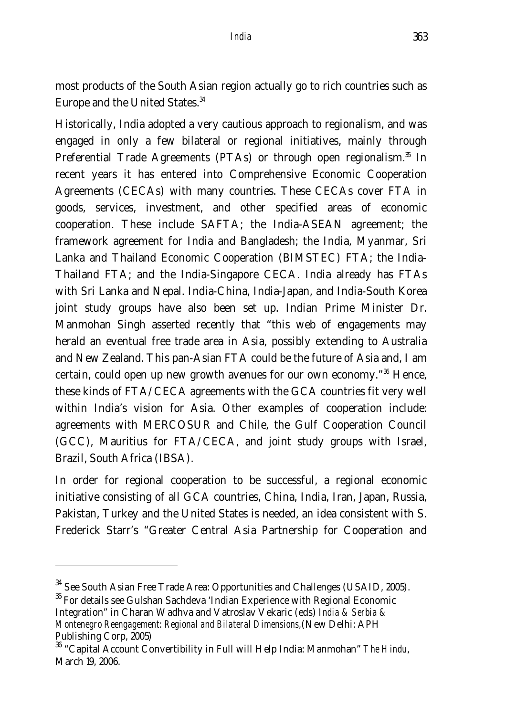most products of the South Asian region actually go to rich countries such as Europe and the United States.<sup>34</sup>

Historically, India adopted a very cautious approach to regionalism, and was engaged in only a few bilateral or regional initiatives, mainly through Preferential Trade Agreements (PTAs) or through open regionalism.<sup>35</sup> In recent years it has entered into Comprehensive Economic Cooperation Agreements (CECAs) with many countries. These CECAs cover FTA in goods, services, investment, and other specified areas of economic cooperation. These include SAFTA; the India-ASEAN agreement; the framework agreement for India and Bangladesh; the India, Myanmar, Sri Lanka and Thailand Economic Cooperation (BIMSTEC) FTA; the India-Thailand FTA; and the India-Singapore CECA. India already has FTAs with Sri Lanka and Nepal. India-China, India-Japan, and India-South Korea joint study groups have also been set up. Indian Prime Minister Dr. Manmohan Singh asserted recently that "this web of engagements may herald an eventual free trade area in Asia, possibly extending to Australia and New Zealand. This pan-Asian FTA could be the future of Asia and, I am certain, could open up new growth avenues for our own economy."36 Hence, these kinds of FTA/CECA agreements with the GCA countries fit very well within India's vision for Asia. Other examples of cooperation include: agreements with MERCOSUR and Chile, the Gulf Cooperation Council (GCC), Mauritius for FTA/CECA, and joint study groups with Israel, Brazil, South Africa (IBSA).

In order for regional cooperation to be successful, a regional economic initiative consisting of all GCA countries, China, India, Iran, Japan, Russia, Pakistan, Turkey and the United States is needed, an idea consistent with S. Frederick Starr's "Greater Central Asia Partnership for Cooperation and

<sup>34</sup> See South Asian Free Trade Area: Opportunities and Challenges (USAID, 2005).

 $35$  For details see Gulshan Sachdeva 'Indian Experience with Regional Economic Integration" in Charan Wadhva and Vatroslav Vekaric (eds) *India & Serbia & Montenegro Reengagement: Regional and Bilateral Dimensions,*(New Delhi: APH Publishing Corp, 2005)

<sup>36 &</sup>quot;Capital Account Convertibility in Full will Help India: Manmohan" *The Hindu*, March 19, 2006.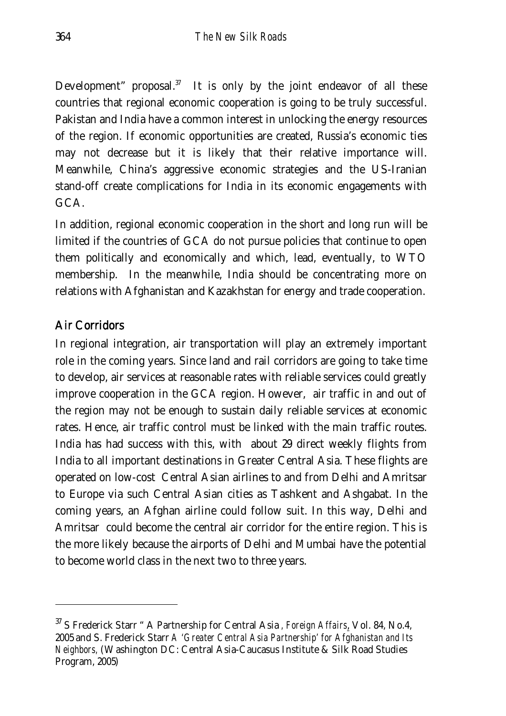Development" proposal. $37$  It is only by the joint endeavor of all these countries that regional economic cooperation is going to be truly successful. Pakistan and India have a common interest in unlocking the energy resources of the region. If economic opportunities are created, Russia's economic ties may not decrease but it is likely that their relative importance will. Meanwhile, China's aggressive economic strategies and the US-Iranian stand-off create complications for India in its economic engagements with GCA<sub>.</sub>

In addition, regional economic cooperation in the short and long run will be limited if the countries of GCA do not pursue policies that continue to open them politically and economically and which, lead, eventually, to WTO membership. In the meanwhile, India should be concentrating more on relations with Afghanistan and Kazakhstan for energy and trade cooperation.

## Air Corridors

 $\overline{a}$ 

In regional integration, air transportation will play an extremely important role in the coming years. Since land and rail corridors are going to take time to develop, air services at reasonable rates with reliable services could greatly improve cooperation in the GCA region. However, air traffic in and out of the region may not be enough to sustain daily reliable services at economic rates. Hence, air traffic control must be linked with the main traffic routes. India has had success with this, with about 29 direct weekly flights from India to all important destinations in Greater Central Asia. These flights are operated on low-cost Central Asian airlines to and from Delhi and Amritsar to Europe via such Central Asian cities as Tashkent and Ashgabat. In the coming years, an Afghan airline could follow suit. In this way, Delhi and Amritsar could become the central air corridor for the entire region. This is the more likely because the airports of Delhi and Mumbai have the potential to become world class in the next two to three years.

<sup>37</sup> S Frederick Starr " A Partnership for Central Asia *, Foreign Affairs*, Vol. 84, No.4, 2005 and S. Frederick Starr *A 'Greater Central Asia Partnership' for Afghanistan and Its Neighbors,* (Washington DC: Central Asia-Caucasus Institute & Silk Road Studies Program, 2005)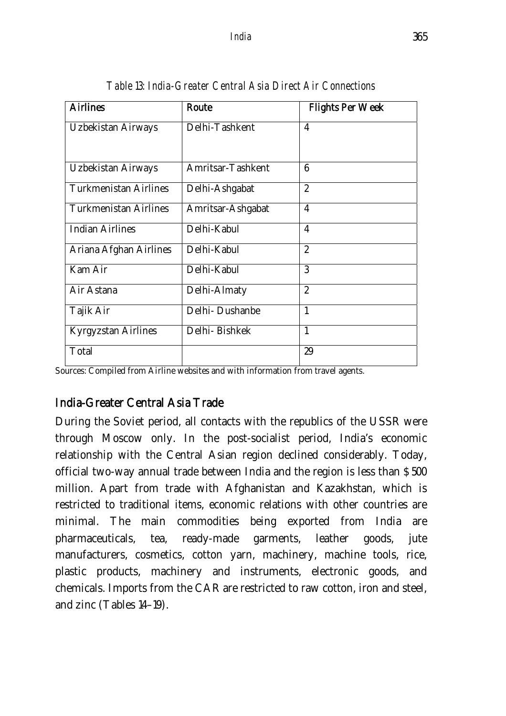| <b>Airlines</b>              | Route             | <b>Flights Per Week</b> |
|------------------------------|-------------------|-------------------------|
| <b>Uzbekistan Airways</b>    | Delhi-Tashkent    | $\overline{\mathbf{4}}$ |
| <b>Uzbekistan Airways</b>    | Amritsar-Tashkent | 6                       |
| <b>Turkmenistan Airlines</b> | Delhi-Ashgabat    | $\overline{2}$          |
| <b>Turkmenistan Airlines</b> | Amritsar-Ashgabat | $\overline{4}$          |
| <b>Indian Airlines</b>       | Delhi-Kabul       | $\overline{\mathbf{4}}$ |
| Ariana Afghan Airlines       | Delhi-Kabul       | $\overline{2}$          |
| Kam Air                      | Delhi-Kabul       | 3                       |
| Air Astana                   | Delhi-Almaty      | $\boldsymbol{2}$        |
| Tajik Air                    | Delhi-Dushanbe    | 1                       |
| <b>Kyrgyzstan Airlines</b>   | Delhi-Bishkek     | $\mathbf{1}$            |
| Total                        |                   | 29                      |

*Table 13: India-Greater Central Asia Direct Air Connections* 

Sources: Compiled from Airline websites and with information from travel agents.

## India-Greater Central Asia Trade

During the Soviet period, all contacts with the republics of the USSR were through Moscow only. In the post-socialist period, India's economic relationship with the Central Asian region declined considerably. Today, official two-way annual trade between India and the region is less than \$ 500 million. Apart from trade with Afghanistan and Kazakhstan, which is restricted to traditional items, economic relations with other countries are minimal. The main commodities being exported from India are pharmaceuticals, tea, ready-made garments, leather goods, jute manufacturers, cosmetics, cotton yarn, machinery, machine tools, rice, plastic products, machinery and instruments, electronic goods, and chemicals. Imports from the CAR are restricted to raw cotton, iron and steel, and zinc (Tables 14–19).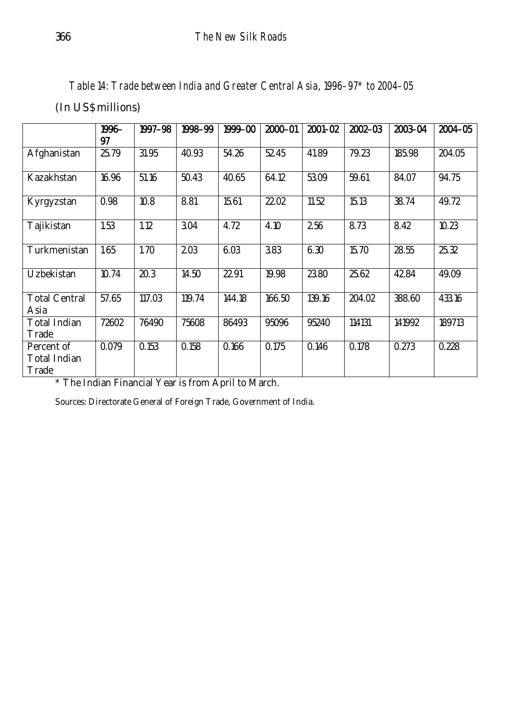*Table 14: Trade between India and Greater Central Asia, 1996–97\* to 2004–05* 

(In US\$ millions)

|                                            | $1996-$<br>97 | 1997-98 | 1998-99 | 1999-00 | $2000 - 01$ | $2001 - 02$ | $2002 - 03$ | 2003-04 | $2004 - 05$ |
|--------------------------------------------|---------------|---------|---------|---------|-------------|-------------|-------------|---------|-------------|
| Afghanistan                                | 25.79         | 31.95   | 40.93   | 54.26   | 52.45       | 41.89       | 79.23       | 185.98  | 204.05      |
| Kazakhstan                                 | 16.96         | 51.16   | 50.43   | 40.65   | 64.12       | 53.09       | 59.61       | 84.07   | 94.75       |
| Kyrgyzstan                                 | 0.98          | 10.8    | 8.81    | 15.61   | 22.02       | 11.52       | 15.13       | 38.74   | 49.72       |
| Tajikistan                                 | 1.53          | 1.12    | 3.04    | 4.72    | 4.10        | 2.56        | 8.73        | 8.42    | 10.23       |
| Turkmenistan                               | 1.65          | 1.70    | 2.03    | 6.03    | 3.83        | 6.30        | 15.70       | 28.55   | 25.32       |
| <b>Uzbekistan</b>                          | 10.74         | 20.3    | 14.50   | 22.91   | 19.98       | 23.80       | 25.62       | 42.84   | 49.09       |
| <b>Total Central</b><br>Asia               | 57.65         | 117.03  | 119.74  | 144.18  | 166.50      | 139.16      | 204.02      | 388.60  | 433.16      |
| <b>Total Indian</b><br>Trade               | 72602         | 76490   | 75608   | 86493   | 95096       | 95240       | 114131      | 141992  | 189713      |
| Percent of<br><b>Total Indian</b><br>Trade | 0.079         | 0.153   | 0.158   | 0.166   | 0.175       | 0.146       | 0.178       | 0.273   | 0.228       |

\* The Indian Financial Year is from April to March.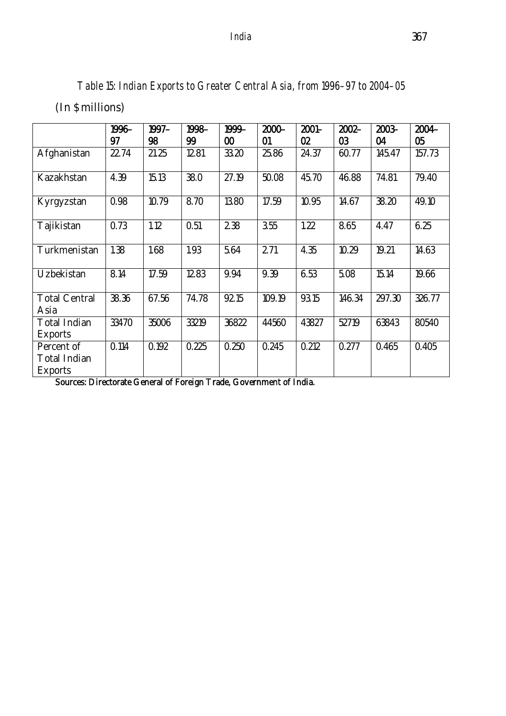#### *India* 367

|                                                     | $1996 -$ | $1997 -$ | 1998- | 1999-  | $2000 -$ | $2001 -$ | $2002 -$ | $2003 -$ | $2004 -$ |
|-----------------------------------------------------|----------|----------|-------|--------|----------|----------|----------|----------|----------|
|                                                     | 97       | 98       | 99    | $00\,$ | 01       | 02       | 03       | 04       | 05       |
| Afghanistan                                         | 22.74    | 21.25    | 12.81 | 33.20  | 25.86    | 24.37    | 60.77    | 145.47   | 157.73   |
| Kazakhstan                                          | 4.39     | 15.13    | 38.0  | 27.19  | 50.08    | 45.70    | 46.88    | 74.81    | 79.40    |
| Kyrgyzstan                                          | 0.98     | 10.79    | 8.70  | 13.80  | 17.59    | 10.95    | 14.67    | 38.20    | 49.10    |
| Tajikistan                                          | 0.73     | 1.12     | 0.51  | 2.38   | 3.55     | 1.22     | 8.65     | 4.47     | 6.25     |
| Turkmenistan                                        | 1.38     | 1.68     | 1.93  | 5.64   | 2.71     | 4.35     | 10.29    | 19.21    | 14.63    |
| Uzbekistan                                          | 8.14     | 17.59    | 12.83 | 9.94   | 9.39     | 6.53     | 5.08     | 15.14    | 19.66    |
| <b>Total Central</b><br>Asia                        | 38.36    | 67.56    | 74.78 | 92.15  | 109.19   | 93.15    | 146.34   | 297.30   | 326.77   |
| <b>Total Indian</b><br><b>Exports</b>               | 33470    | 35006    | 33219 | 36822  | 44560    | 43827    | 52719    | 63843    | 80540    |
| Percent of<br><b>Total Indian</b><br><b>Exports</b> | 0.114    | 0.192    | 0.225 | 0.250  | 0.245    | 0.212    | 0.277    | 0.465    | 0.405    |

*Table 15: Indian Exports to Greater Central Asia, from 1996–97 to 2004–05* 

(In \$ millions)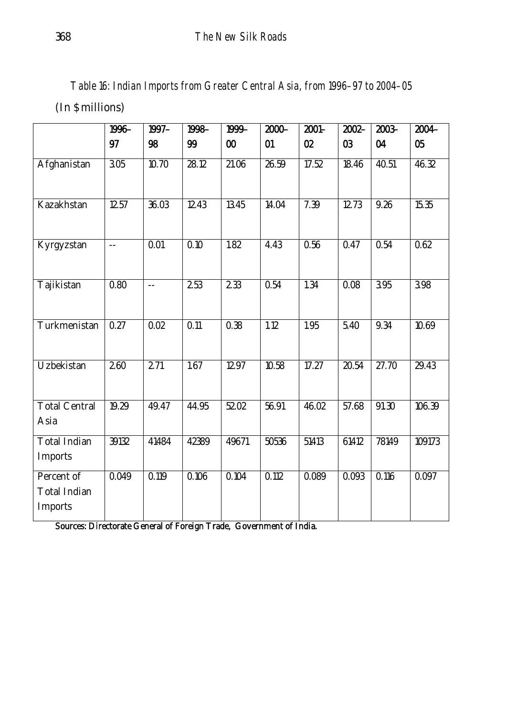*Table 16: Indian Imports from Greater Central Asia, from 1996–97 to 2004–05* 

|                                                     | 1996-             | $1997 -$                | 1998- | 1999-             | $2000 -$ | $2001 -$          | $2002 -$ | $2003 -$          | $2004 -$          |
|-----------------------------------------------------|-------------------|-------------------------|-------|-------------------|----------|-------------------|----------|-------------------|-------------------|
|                                                     | 97                | 98                      | 99    | 00                | 01       | 02                | 03       | 04                | 05                |
| Afghanistan                                         | 3.05              | 10.70                   | 28.12 | 21.06             | 26.59    | 17.52             | 18.46    | 40.51             | 46.32             |
| Kazakhstan                                          | 12.57             | 36.03                   | 12.43 | 13.45             | 14.04    | 7.39              | 12.73    | 9.26              | 15.35             |
| Kyrgyzstan                                          | $\overline{a}$    | $\overline{0.01}$       | 0.10  | 1.82              | 4.43     | $\overline{0.56}$ | 0.47     | $\overline{0.54}$ | $\overline{0.62}$ |
| Tajikistan                                          | 0.80              | $\mathbb{L} \mathbb{L}$ | 2.53  | 2.33              | 0.54     | 1.34              | 0.08     | $\overline{3.95}$ | 3.98              |
| Turkmenistan                                        | $\overline{0.27}$ | $\overline{0.02}$       | 0.11  | $\overline{0.38}$ | 1.12     | 1.95              | 5.40     | 9.34              | 10.69             |
| Uzbekistan                                          | 2.60              | 2.71                    | 1.67  | 12.97             | 10.58    | 17.27             | 20.54    | 27.70             | 29.43             |
| <b>Total Central</b><br>Asia                        | 19.29             | 49.47                   | 44.95 | 52.02             | 56.91    | 46.02             | 57.68    | 91.30             | 106.39            |
| <b>Total Indian</b><br><b>Imports</b>               | 39132             | 41484                   | 42389 | 49671             | 50536    | 51413             | 61412    | 78149             | 109173            |
| Percent of<br><b>Total Indian</b><br><b>Imports</b> | 0.049             | 0.119                   | 0.106 | 0.104             | 0.112    | 0.089             | 0.093    | 0.116             | 0.097             |

(In \$ millions)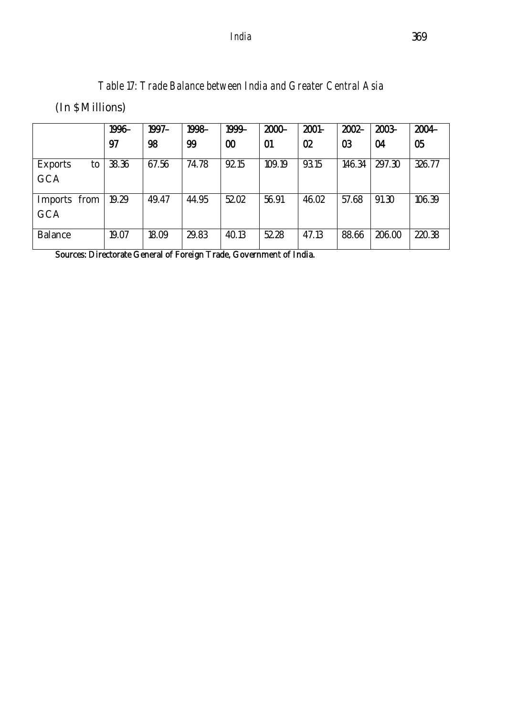#### *India* 369

*Table 17: Trade Balance between India and Greater Central Asia* 

## (In \$ Millions)

|                                    | 1996- | $1997 -$ | 1998- | 1999-     | $2000 -$ | $2001 -$ | $2002 -$ | $2003 -$ | $2004 -$ |
|------------------------------------|-------|----------|-------|-----------|----------|----------|----------|----------|----------|
|                                    | 97    | 98       | 99    | $\bf{00}$ | 01       | 02       | 03       | 04       | 05       |
| <b>Exports</b><br>to<br><b>GCA</b> | 38.36 | 67.56    | 74.78 | 92.15     | 109.19   | 93.15    | 146.34   | 297.30   | 326.77   |
| Imports from   19.29<br><b>GCA</b> |       | 49.47    | 44.95 | 52.02     | 56.91    | 46.02    | 57.68    | 91.30    | 106.39   |
| <b>Balance</b>                     | 19.07 | 18.09    | 29.83 | 40.13     | 52.28    | 47.13    | 88.66    | 206.00   | 220.38   |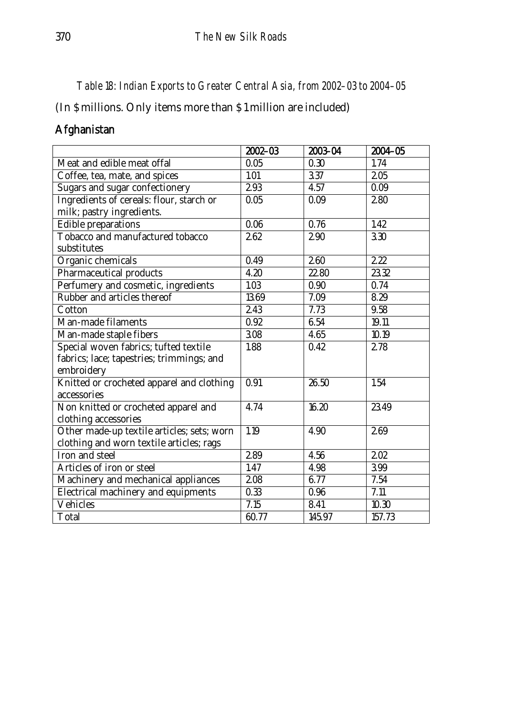*Table 18: Indian Exports to Greater Central Asia, from 2002–03 to 2004–05* 

(In \$ millions. Only items more than \$ 1 million are included)

# Afghanistan

|                                            | $2002 - 03$       | 2003-04 | 2004-05 |
|--------------------------------------------|-------------------|---------|---------|
| Meat and edible meat offal                 | 0.05              | 0.30    | 1.74    |
| Coffee, tea, mate, and spices              | 1.01              | 3.37    | 2.05    |
| <b>Sugars and sugar confectionery</b>      | 2.93              | 4.57    | 0.09    |
| Ingredients of cereals: flour, starch or   | 0.05              | 0.09    | 2.80    |
| milk; pastry ingredients.                  |                   |         |         |
| <b>Edible preparations</b>                 | 0.06              | 0.76    | 1.42    |
| Tobacco and manufactured tobacco           | 2.62              | 2.90    | 3.30    |
| substitutes                                |                   |         |         |
| Organic chemicals                          | 0.49              | 2.60    | 2.22    |
| <b>Pharmaceutical products</b>             | 4.20              | 22.80   | 23.32   |
| Perfumery and cosmetic, ingredients        | 1.03              | 0.90    | 0.74    |
| Rubber and articles thereof                | 13.69             | 7.09    | 8.29    |
| Cotton                                     | 2.43              | 7.73    | 9.58    |
| Man-made filaments                         | 0.92              | 6.54    | 19.11   |
| Man-made staple fibers                     | $\overline{3.08}$ | 4.65    | 10.19   |
| Special woven fabrics; tufted textile      | 1.88              | 0.42    | 2.78    |
| fabrics; lace; tapestries; trimmings; and  |                   |         |         |
| embroidery                                 |                   |         |         |
| Knitted or crocheted apparel and clothing  | $\overline{0.91}$ | 26.50   | 1.54    |
| accessories                                |                   |         |         |
| Non knitted or crocheted apparel and       | 4.74              | 16.20   | 23.49   |
| clothing accessories                       |                   |         |         |
| Other made-up textile articles; sets; worn | 1.19              | 4.90    | 2.69    |
| clothing and worn textile articles; rags   |                   |         |         |
| Iron and steel                             | 2.89              | 4.56    | 2.02    |
| Articles of iron or steel                  | $\overline{1.47}$ | 4.98    | 3.99    |
| Machinery and mechanical appliances        | 2.08              | 6.77    | 7.54    |
| Electrical machinery and equipments        | 0.33              | 0.96    | 7.11    |
| <b>Vehicles</b>                            | 7.15              | 8.41    | 10.30   |
| <b>Total</b>                               | 60.77             | 145.97  | 157.73  |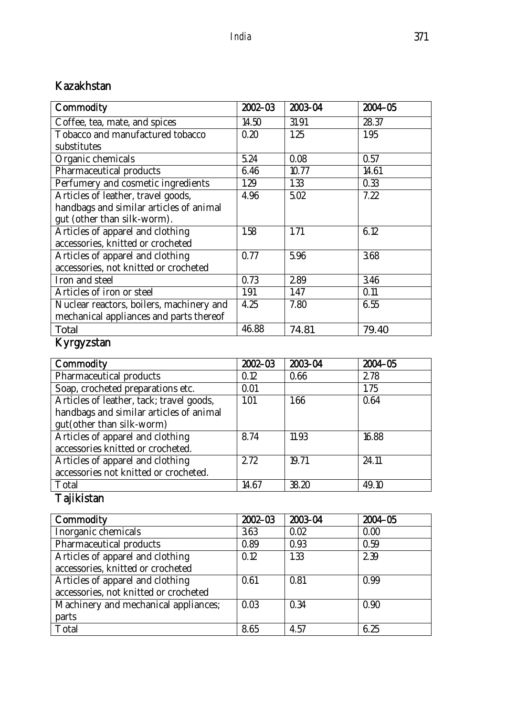# Kazakhstan

| 2002-03 | 2003-04 | 2004-05 |
|---------|---------|---------|
| 14.50   | 31.91   | 28.37   |
| 0.20    | 1.25    | 1.95    |
|         |         |         |
| 5.24    | 0.08    | 0.57    |
| 6.46    | 10.77   | 14.61   |
| 1.29    | 1.33    | 0.33    |
| 4.96    | 5.02    | 7.22    |
|         |         |         |
|         |         |         |
| 1.58    | 1.71    | 6.12    |
|         |         |         |
| 0.77    | 5.96    | 3.68    |
|         |         |         |
| 0.73    | 2.89    | 3.46    |
| 1.91    | 1.47    | 0.11    |
| 4.25    | 7.80    | 6.55    |
|         |         |         |
| 46.88   | 74.81   | 79.40   |
|         |         |         |

# Kyrgyzstan

| Commodity                                | $2002 - 03$ | 2003-04 | $2004 - 05$ |
|------------------------------------------|-------------|---------|-------------|
| <b>Pharmaceutical products</b>           | 0.12        | 0.66    | 2.78        |
| Soap, crocheted preparations etc.        | 0.01        |         | 1.75        |
| Articles of leather, tack; travel goods, | 1.01        | 1.66    | 0.64        |
| handbags and similar articles of animal  |             |         |             |
| gut (other than silk-worm)               |             |         |             |
| Articles of apparel and clothing         | 8.74        | 11.93   | 16.88       |
| accessories knitted or crocheted.        |             |         |             |
| Articles of apparel and clothing         | 2.72        | 19.71   | 24.11       |
| accessories not knitted or crocheted.    |             |         |             |
| Total                                    | 14.67       | 38.20   | 49.10       |

# Tajikistan

| Commodity                             | $2002 - 03$ | 2003-04 | $2004 - 05$ |
|---------------------------------------|-------------|---------|-------------|
| Inorganic chemicals                   | 3.63        | 0.02    | 0.00        |
| Pharmaceutical products               | 0.89        | 0.93    | 0.59        |
| Articles of apparel and clothing      | 0.12        | 1.33    | 2.39        |
| accessories, knitted or crocheted     |             |         |             |
| Articles of apparel and clothing      | 0.61        | 0.81    | 0.99        |
| accessories, not knitted or crocheted |             |         |             |
| Machinery and mechanical appliances;  | 0.03        | 0.34    | 0.90        |
| parts                                 |             |         |             |
| Total                                 | 8.65        | 4.57    | 6.25        |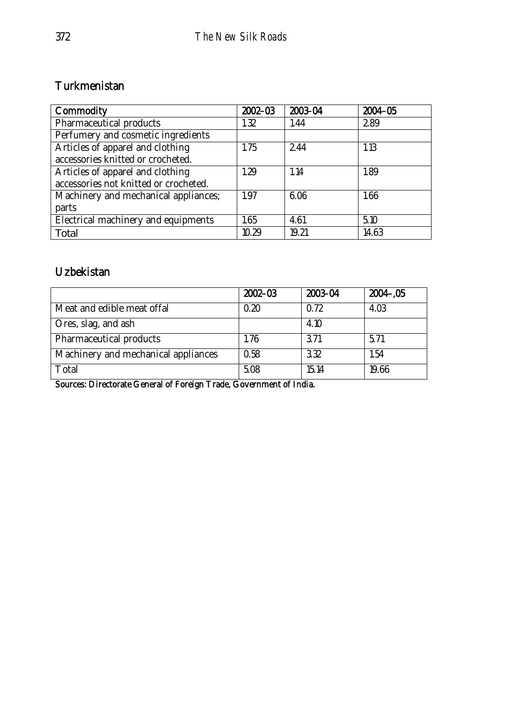| Commodity                             | $2002 - 03$ | 2003-04 | $2004 - 05$ |
|---------------------------------------|-------------|---------|-------------|
| Pharmaceutical products               | 1.32        | 1.44    | 2.89        |
| Perfumery and cosmetic ingredients    |             |         |             |
| Articles of apparel and clothing      | 1.75        | 2.44    | 1.13        |
| accessories knitted or crocheted.     |             |         |             |
| Articles of apparel and clothing      | 1.29        | 1.14    | 1.89        |
| accessories not knitted or crocheted. |             |         |             |
| Machinery and mechanical appliances;  | 1.97        | 6.06    | 1.66        |
| parts                                 |             |         |             |
| Electrical machinery and equipments   | 1.65        | 4.61    | 5.10        |
| Total                                 | 10.29       | 19.21   | 14.63       |

### Turkmenistan

## Uzbekistan

|                                     | $2002 - 03$ | 2003-04 | $2004 - 05$ |
|-------------------------------------|-------------|---------|-------------|
| Meat and edible meat offal          | 0.20        | 0.72    | 4.03        |
| Ores, slag, and ash                 |             | 4.10    |             |
| <b>Pharmaceutical products</b>      | 1.76        | 3.71    | 5.71        |
| Machinery and mechanical appliances | 0.58        | 3.32    | 1.54        |
| Total                               | 5.08        | 15.14   | 19.66       |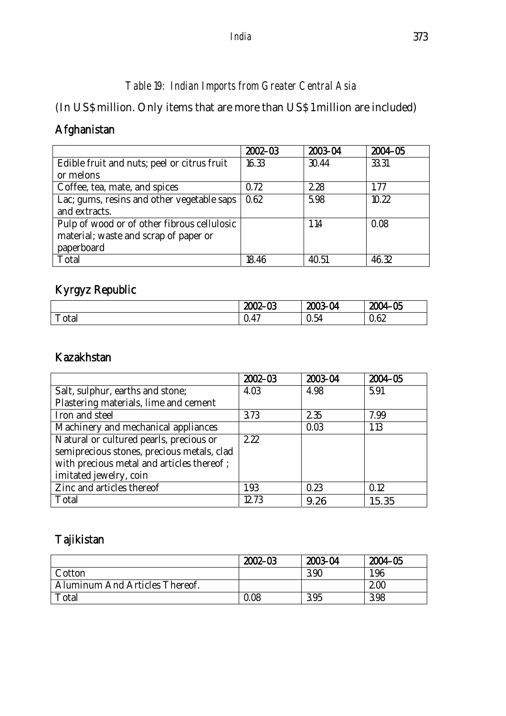## *Table 19: Indian Imports from Greater Central Asia*

(In US\$ million. Only items that are more than US\$ 1 million are included)

# Afghanistan

|                                             | $2002 - 03$ | 2003-04 | $2004 - 05$ |
|---------------------------------------------|-------------|---------|-------------|
| Edible fruit and nuts; peel or citrus fruit | 16.33       | 30.44   | 33.31       |
| or melons                                   |             |         |             |
| Coffee, tea, mate, and spices               | 0.72        | 2.28    | 1.77        |
| Lac; gums, resins and other vegetable saps  | 0.62        | 5.98    | 10.22       |
| and extracts.                               |             |         |             |
| Pulp of wood or of other fibrous cellulosic |             | 1.14    | 0.08        |
| material; waste and scrap of paper or       |             |         |             |
| paperboard                                  |             |         |             |
| <b>Total</b>                                | 18.46       | 40.51   | 46.32       |

# Kyrgyz Republic

|                        | 2002<br>$2 - 03$ | $-04$<br>2003 | $2004 - 05$ |
|------------------------|------------------|---------------|-------------|
| m<br><sup>-</sup> otal | 0.47             | 0.54          | 0.62        |

## Kazakhstan

|                                            | $2002 - 03$ | 2003-04 | $2004 - 05$ |
|--------------------------------------------|-------------|---------|-------------|
| Salt, sulphur, earths and stone;           | 4.03        | 4.98    | 5.91        |
| Plastering materials, lime and cement      |             |         |             |
| Iron and steel                             | 3.73        | 2.35    | 7.99        |
| Machinery and mechanical appliances        |             | 0.03    | 1.13        |
| Natural or cultured pearls, precious or    | 2.22        |         |             |
| semiprecious stones, precious metals, clad |             |         |             |
| with precious metal and articles thereof;  |             |         |             |
| imitated jewelry, coin                     |             |         |             |
| Zinc and articles thereof                  | 1.93        | 0.23    | 0.12        |
| <b>Total</b>                               | 12.73       | 9.26    | 15.35       |

# Tajikistan

|                                       | $2002 - 03$ | 2003-04 | $2004 - 05$ |
|---------------------------------------|-------------|---------|-------------|
| Cotton                                |             | 3.90    | 1.96        |
| <b>Aluminum And Articles Thereof.</b> |             |         | 2.00        |
| Total                                 | 0.08        | 3.95    | 3.98        |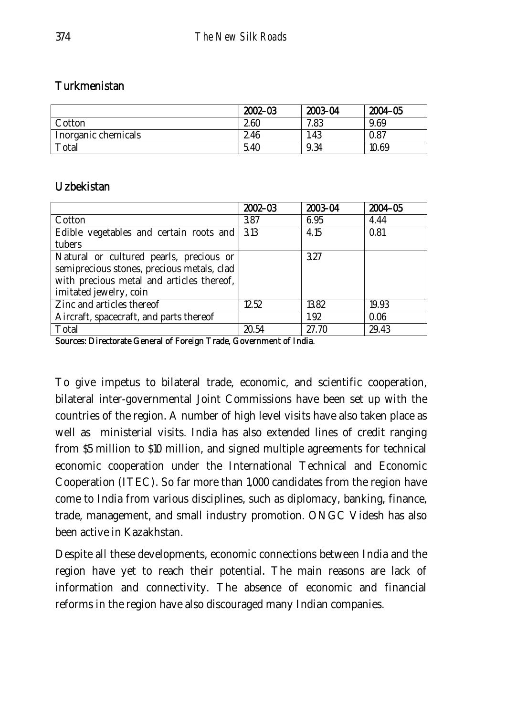#### Turkmenistan

|                     | $2002 - 03$ | 2003-04  | $2004 - 05$ |
|---------------------|-------------|----------|-------------|
| Cotton              | 2.60        | 7.83     | 9.69        |
| Inorganic chemicals | 2.46        | $1.43\,$ | 0.87        |
| Total               | 5.40        | 9.34     | 10.69       |

### Uzbekistan

|                                            | $2002 - 03$ | 2003-04 | $2004 - 05$ |
|--------------------------------------------|-------------|---------|-------------|
| Cotton                                     | 3.87        | 6.95    | 4.44        |
| Edible vegetables and certain roots and    | 3.13        | 4.15    | 0.81        |
| tubers                                     |             |         |             |
| Natural or cultured pearls, precious or    |             | 3.27    |             |
| semiprecious stones, precious metals, clad |             |         |             |
| with precious metal and articles thereof,  |             |         |             |
| imitated jewelry, coin                     |             |         |             |
| Zinc and articles thereof                  | 12.52       | 13.82   | 19.93       |
| Aircraft, spacecraft, and parts thereof    |             | 1.92    | 0.06        |
| Total                                      | 20.54       | 27.70   | 29.43       |
|                                            |             |         |             |

Sources: Directorate General of Foreign Trade, Government of India.

To give impetus to bilateral trade, economic, and scientific cooperation, bilateral inter-governmental Joint Commissions have been set up with the countries of the region. A number of high level visits have also taken place as well as ministerial visits. India has also extended lines of credit ranging from \$5 million to \$10 million, and signed multiple agreements for technical economic cooperation under the International Technical and Economic Cooperation (ITEC). So far more than 1,000 candidates from the region have come to India from various disciplines, such as diplomacy, banking, finance, trade, management, and small industry promotion. ONGC Videsh has also been active in Kazakhstan.

Despite all these developments, economic connections between India and the region have yet to reach their potential. The main reasons are lack of information and connectivity. The absence of economic and financial reforms in the region have also discouraged many Indian companies.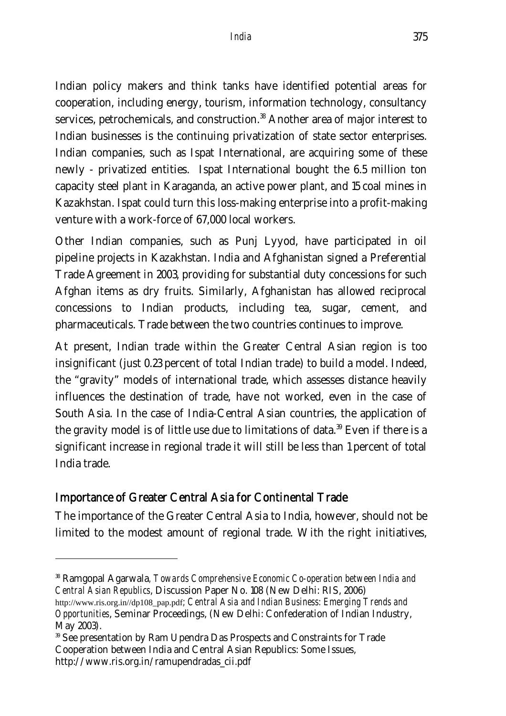Indian policy makers and think tanks have identified potential areas for cooperation, including energy, tourism, information technology, consultancy services, petrochemicals, and construction.<sup>38</sup> Another area of major interest to Indian businesses is the continuing privatization of state sector enterprises. Indian companies, such as Ispat International, are acquiring some of these newly - privatized entities. Ispat International bought the 6.5 million ton capacity steel plant in Karaganda, an active power plant, and 15 coal mines in Kazakhstan. Ispat could turn this loss-making enterprise into a profit-making venture with a work-force of 67,000 local workers.

Other Indian companies, such as Punj Lyyod, have participated in oil pipeline projects in Kazakhstan. India and Afghanistan signed a Preferential Trade Agreement in 2003, providing for substantial duty concessions for such Afghan items as dry fruits. Similarly, Afghanistan has allowed reciprocal concessions to Indian products, including tea, sugar, cement, and pharmaceuticals. Trade between the two countries continues to improve.

At present, Indian trade within the Greater Central Asian region is too insignificant (just 0.23 percent of total Indian trade) to build a model. Indeed, the "gravity" models of international trade, which assesses distance heavily influences the destination of trade, have not worked, even in the case of South Asia. In the case of India-Central Asian countries, the application of the gravity model is of little use due to limitations of data.<sup>39</sup> Even if there is a significant increase in regional trade it will still be less than 1 percent of total India trade.

## Importance of Greater Central Asia for Continental Trade

 $\overline{a}$ 

The importance of the Greater Central Asia to India, however, should not be limited to the modest amount of regional trade. With the right initiatives,

http://www.ris.org.in//dp108\_pap.pdf*; Central Asia and Indian Business: Emerging Trends and Opportunities*, Seminar Proceedings, (New Delhi: Confederation of Indian Industry, May 2003).

<sup>38</sup> Ramgopal Agarwala*, Towards Comprehensive Economic Co-operation between India and Central Asian Republics*, Discussion Paper No. 108 (New Delhi: RIS, 2006)

<sup>39</sup> See presentation by Ram Upendra Das Prospects and Constraints for Trade Cooperation between India and Central Asian Republics: Some Issues, http://www.ris.org.in/ramupendradas\_cii.pdf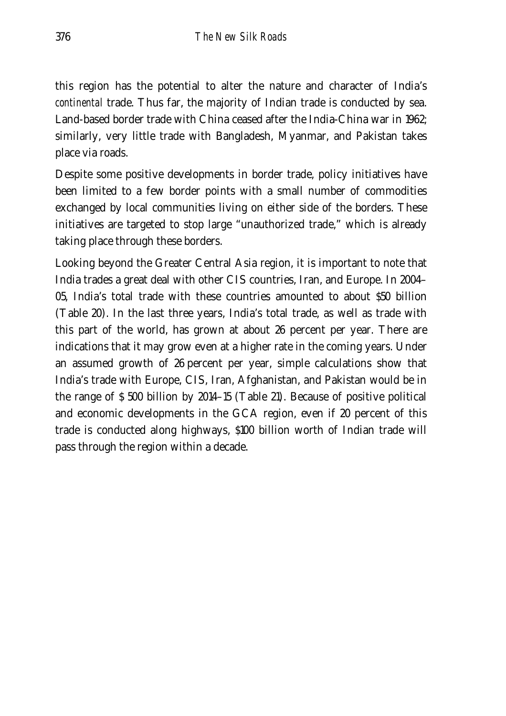this region has the potential to alter the nature and character of India's *continental* trade. Thus far, the majority of Indian trade is conducted by sea. Land-based border trade with China ceased after the India-China war in 1962; similarly, very little trade with Bangladesh, Myanmar, and Pakistan takes place via roads.

Despite some positive developments in border trade, policy initiatives have been limited to a few border points with a small number of commodities exchanged by local communities living on either side of the borders. These initiatives are targeted to stop large "unauthorized trade," which is already taking place through these borders.

Looking beyond the Greater Central Asia region, it is important to note that India trades a great deal with other CIS countries, Iran, and Europe. In 2004– 05, India's total trade with these countries amounted to about \$50 billion (Table 20). In the last three years, India's total trade, as well as trade with this part of the world, has grown at about 26 percent per year. There are indications that it may grow even at a higher rate in the coming years. Under an assumed growth of 26 percent per year, simple calculations show that India's trade with Europe, CIS, Iran, Afghanistan, and Pakistan would be in the range of \$ 500 billion by 2014–15 (Table 21). Because of positive political and economic developments in the GCA region, even if 20 percent of this trade is conducted along highways, \$100 billion worth of Indian trade will pass through the region within a decade.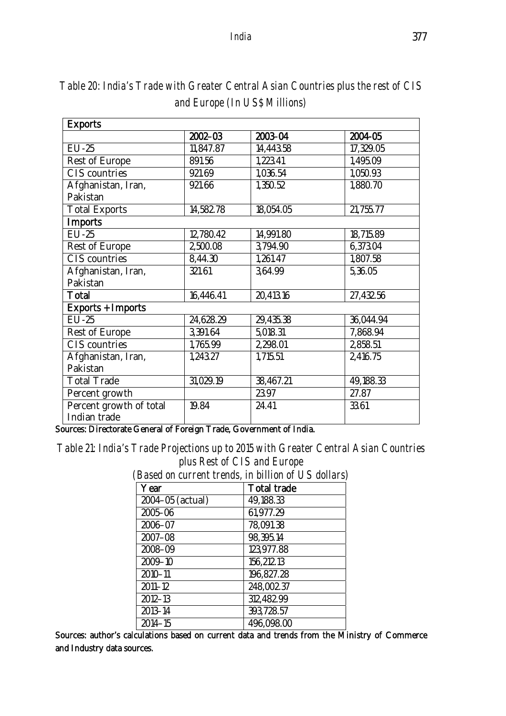| <b>Exports</b>           |           |           |           |
|--------------------------|-----------|-----------|-----------|
|                          | 2002-03   | 2003-04   | 2004-05   |
| $EU-25$                  | 11,847.87 | 14,443.58 | 17,329.05 |
| <b>Rest of Europe</b>    | 891.56    | 1,223.41  | 1,495.09  |
| <b>CIS</b> countries     | 921.69    | 1,036.54  | 1,050.93  |
| Afghanistan, Iran,       | 921.66    | 1,350.52  | 1,880.70  |
| Pakistan                 |           |           |           |
| <b>Total Exports</b>     | 14,582.78 | 18,054.05 | 21,755.77 |
| <b>Imports</b>           |           |           |           |
| $EU-25$                  | 12,780.42 | 14,991.80 | 18,715.89 |
| <b>Rest of Europe</b>    | 2,500.08  | 3,794.90  | 6,373.04  |
| <b>CIS</b> countries     | 8,44.30   | 1,261.47  | 1,807.58  |
| Afghanistan, Iran,       | 321.61    | 3,64.99   | 5,36.05   |
| Pakistan                 |           |           |           |
| <b>Total</b>             | 16,446.41 | 20,413.16 | 27,432.56 |
| <b>Exports + Imports</b> |           |           |           |
| $EU-25$                  | 24,628.29 | 29,435.38 | 36,044.94 |
| <b>Rest of Europe</b>    | 3,391.64  | 5,018.31  | 7,868.94  |
| <b>CIS</b> countries     | 1,765.99  | 2,298.01  | 2,858.51  |
| Afghanistan, Iran,       | 1,243.27  | 1,715.51  | 2,416.75  |
| Pakistan                 |           |           |           |
| <b>Total Trade</b>       | 31,029.19 | 38,467.21 | 49,188.33 |
| Percent growth           |           | 23.97     | 27.87     |
| Percent growth of total  | 19.84     | 24.41     | 33.61     |
| Indian trade             |           |           |           |

*Table 20: India's Trade with Greater Central Asian Countries plus the rest of CIS and Europe (In US\$ Millions)* 

Sources: Directorate General of Foreign Trade, Government of India.

*Table 21: India's Trade Projections up to 2015 with Greater Central Asian Countries plus Rest of CIS and Europe* 

|                  | (Based on current trends, in billion of US dollars) |
|------------------|-----------------------------------------------------|
| Year             | <b>Total trade</b>                                  |
| 2004-05 (actual) | 49,188.33                                           |
| $2005 - 06$      | 61,977.29                                           |
| $2006 - 07$      | 78,091.38                                           |
| $2007 - 08$      | 98,395.14                                           |
| $2008 - 09$      | 123,977.88                                          |
| $2009 - 10$      | 156,212.13                                          |
| $2010 - 11$      | 196,827.28                                          |
| $2011 - 12$      | 248,002.37                                          |
| $2012 - 13$      | 312,482.99                                          |
| 2013-14          | 393,728.57                                          |
| $2014 - 15$      | 496,098.00                                          |

Sources: author's calculations based on current data and trends from the Ministry of Commerce and Industry data sources.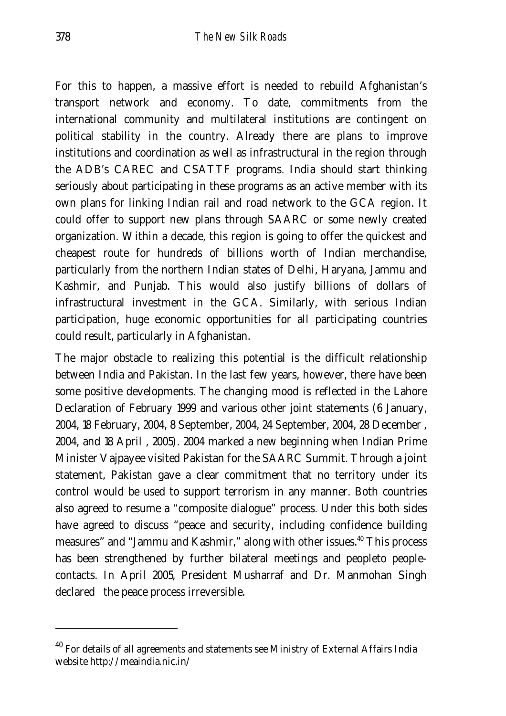For this to happen, a massive effort is needed to rebuild Afghanistan's transport network and economy. To date, commitments from the international community and multilateral institutions are contingent on political stability in the country. Already there are plans to improve institutions and coordination as well as infrastructural in the region through the ADB's CAREC and CSATTF programs. India should start thinking seriously about participating in these programs as an active member with its own plans for linking Indian rail and road network to the GCA region. It could offer to support new plans through SAARC or some newly created organization. Within a decade, this region is going to offer the quickest and cheapest route for hundreds of billions worth of Indian merchandise, particularly from the northern Indian states of Delhi, Haryana, Jammu and Kashmir, and Punjab. This would also justify billions of dollars of infrastructural investment in the GCA. Similarly, with serious Indian participation, huge economic opportunities for all participating countries could result, particularly in Afghanistan.

The major obstacle to realizing this potential is the difficult relationship between India and Pakistan. In the last few years, however, there have been some positive developments. The changing mood is reflected in the Lahore Declaration of February 1999 and various other joint statements (6 January, 2004, 18 February, 2004, 8 September, 2004, 24 September, 2004, 28 December , 2004, and 18 April , 2005). 2004 marked a new beginning when Indian Prime Minister Vajpayee visited Pakistan for the SAARC Summit. Through a joint statement, Pakistan gave a clear commitment that no territory under its control would be used to support terrorism in any manner. Both countries also agreed to resume a "composite dialogue" process. Under this both sides have agreed to discuss "peace and security, including confidence building measures" and "Jammu and Kashmir," along with other issues.<sup>40</sup> This process has been strengthened by further bilateral meetings and peopleto peoplecontacts. In April 2005, President Musharraf and Dr. Manmohan Singh declared the peace process irreversible.

 $40$  For details of all agreements and statements see Ministry of External Affairs India website http://meaindia.nic.in/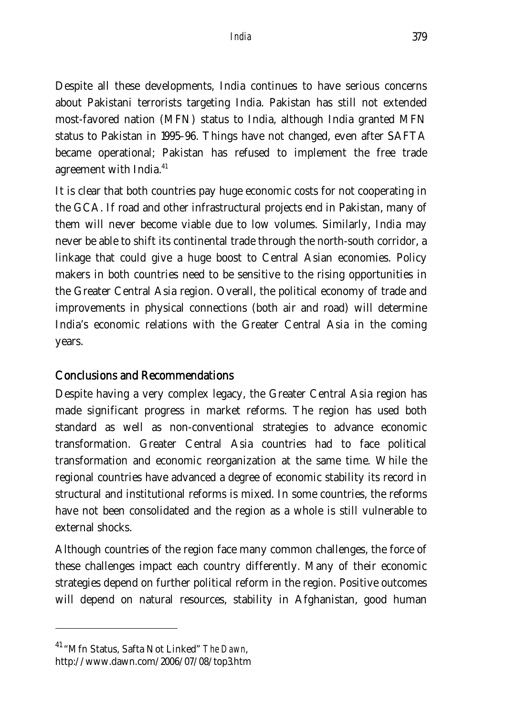Despite all these developments, India continues to have serious concerns about Pakistani terrorists targeting India. Pakistan has still not extended most-favored nation (MFN) status to India, although India granted MFN status to Pakistan in 1995–96. Things have not changed, even after SAFTA became operational; Pakistan has refused to implement the free trade agreement with India.<sup>41</sup>

It is clear that both countries pay huge economic costs for not cooperating in the GCA. If road and other infrastructural projects end in Pakistan, many of them will never become viable due to low volumes. Similarly, India may never be able to shift its continental trade through the north-south corridor, a linkage that could give a huge boost to Central Asian economies. Policy makers in both countries need to be sensitive to the rising opportunities in the Greater Central Asia region. Overall, the political economy of trade and improvements in physical connections (both air and road) will determine India's economic relations with the Greater Central Asia in the coming years.

## Conclusions and Recommendations

Despite having a very complex legacy, the Greater Central Asia region has made significant progress in market reforms. The region has used both standard as well as non-conventional strategies to advance economic transformation. Greater Central Asia countries had to face political transformation and economic reorganization at the same time. While the regional countries have advanced a degree of economic stability its record in structural and institutional reforms is mixed. In some countries, the reforms have not been consolidated and the region as a whole is still vulnerable to external shocks.

Although countries of the region face many common challenges, the force of these challenges impact each country differently. Many of their economic strategies depend on further political reform in the region. Positive outcomes will depend on natural resources, stability in Afghanistan, good human

<sup>41 &</sup>quot;Mfn Status, Safta Not Linked" *The Dawn*,

http://www.dawn.com/2006/07/08/top3.htm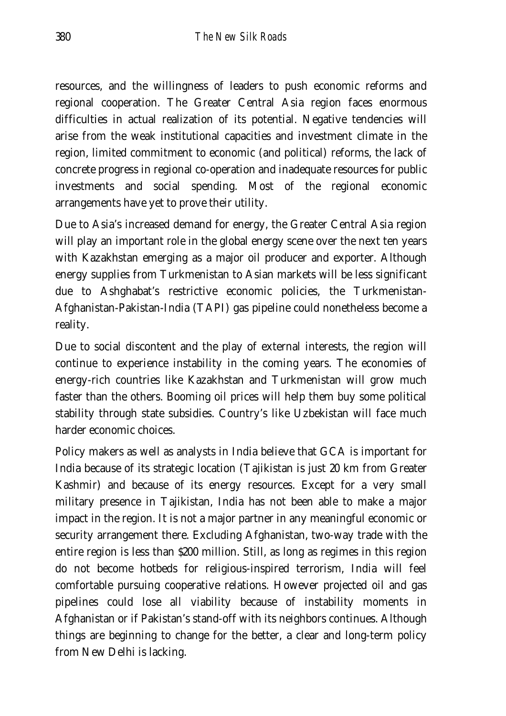resources, and the willingness of leaders to push economic reforms and regional cooperation. The Greater Central Asia region faces enormous difficulties in actual realization of its potential. Negative tendencies will arise from the weak institutional capacities and investment climate in the region, limited commitment to economic (and political) reforms, the lack of concrete progress in regional co-operation and inadequate resources for public investments and social spending. Most of the regional economic arrangements have yet to prove their utility.

Due to Asia's increased demand for energy, the Greater Central Asia region will play an important role in the global energy scene over the next ten years with Kazakhstan emerging as a major oil producer and exporter. Although energy supplies from Turkmenistan to Asian markets will be less significant due to Ashghabat's restrictive economic policies, the Turkmenistan-Afghanistan-Pakistan-India (TAPI) gas pipeline could nonetheless become a reality.

Due to social discontent and the play of external interests, the region will continue to experience instability in the coming years. The economies of energy-rich countries like Kazakhstan and Turkmenistan will grow much faster than the others. Booming oil prices will help them buy some political stability through state subsidies. Country's like Uzbekistan will face much harder economic choices.

Policy makers as well as analysts in India believe that GCA is important for India because of its strategic location (Tajikistan is just 20 km from Greater Kashmir) and because of its energy resources. Except for a very small military presence in Tajikistan, India has not been able to make a major impact in the region. It is not a major partner in any meaningful economic or security arrangement there. Excluding Afghanistan, two-way trade with the entire region is less than \$200 million. Still, as long as regimes in this region do not become hotbeds for religious-inspired terrorism, India will feel comfortable pursuing cooperative relations. However projected oil and gas pipelines could lose all viability because of instability moments in Afghanistan or if Pakistan's stand-off with its neighbors continues. Although things are beginning to change for the better, a clear and long-term policy from New Delhi is lacking.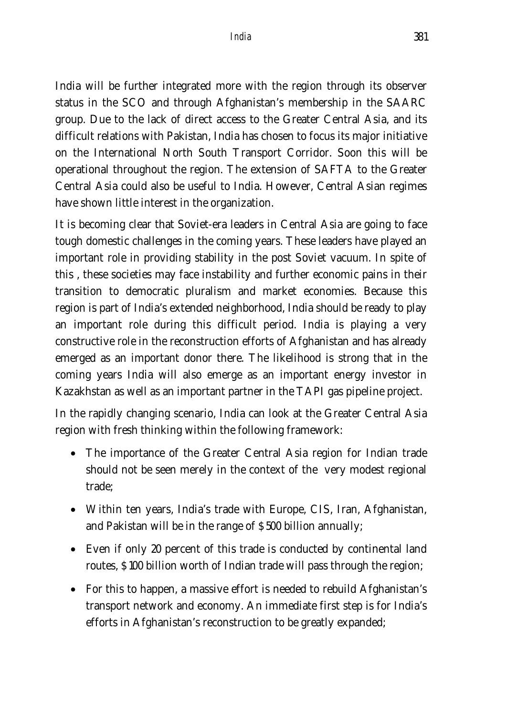India will be further integrated more with the region through its observer status in the SCO and through Afghanistan's membership in the SAARC group. Due to the lack of direct access to the Greater Central Asia, and its difficult relations with Pakistan, India has chosen to focus its major initiative on the International North South Transport Corridor. Soon this will be operational throughout the region. The extension of SAFTA to the Greater Central Asia could also be useful to India. However, Central Asian regimes have shown little interest in the organization.

It is becoming clear that Soviet-era leaders in Central Asia are going to face tough domestic challenges in the coming years. These leaders have played an important role in providing stability in the post Soviet vacuum. In spite of this , these societies may face instability and further economic pains in their transition to democratic pluralism and market economies. Because this region is part of India's extended neighborhood, India should be ready to play an important role during this difficult period. India is playing a very constructive role in the reconstruction efforts of Afghanistan and has already emerged as an important donor there. The likelihood is strong that in the coming years India will also emerge as an important energy investor in Kazakhstan as well as an important partner in the TAPI gas pipeline project.

In the rapidly changing scenario, India can look at the Greater Central Asia region with fresh thinking within the following framework:

- The importance of the Greater Central Asia region for Indian trade should not be seen merely in the context of the very modest regional trade;
- Within ten years, India's trade with Europe, CIS, Iran, Afghanistan, and Pakistan will be in the range of \$ 500 billion annually;
- Even if only 20 percent of this trade is conducted by continental land routes, \$ 100 billion worth of Indian trade will pass through the region;
- For this to happen, a massive effort is needed to rebuild Afghanistan's transport network and economy. An immediate first step is for India's efforts in Afghanistan's reconstruction to be greatly expanded;